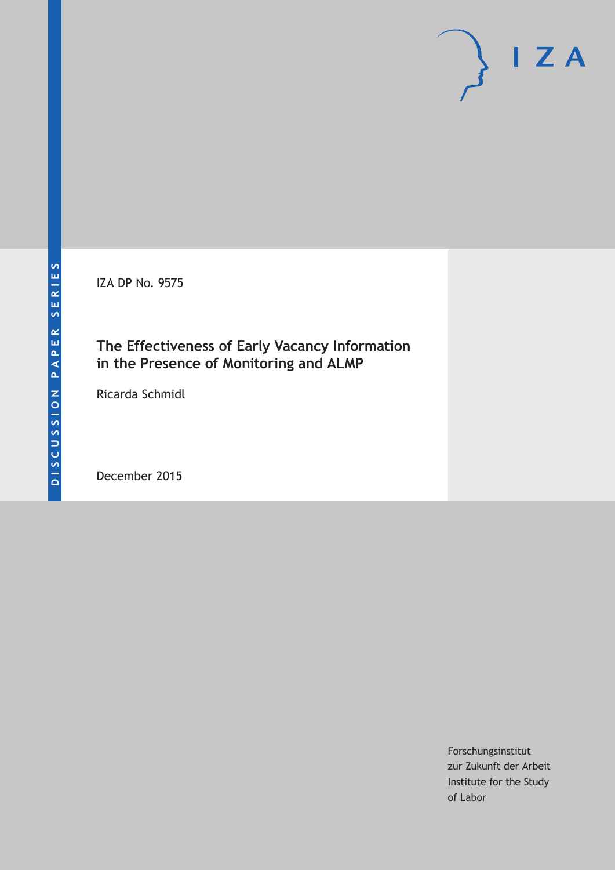IZA DP No. 9575

### **The Effectiveness of Early Vacancy Information in the Presence of Monitoring and ALMP**

Ricarda Schmidl

December 2015

Forschungsinstitut zur Zukunft der Arbeit Institute for the Study of Labor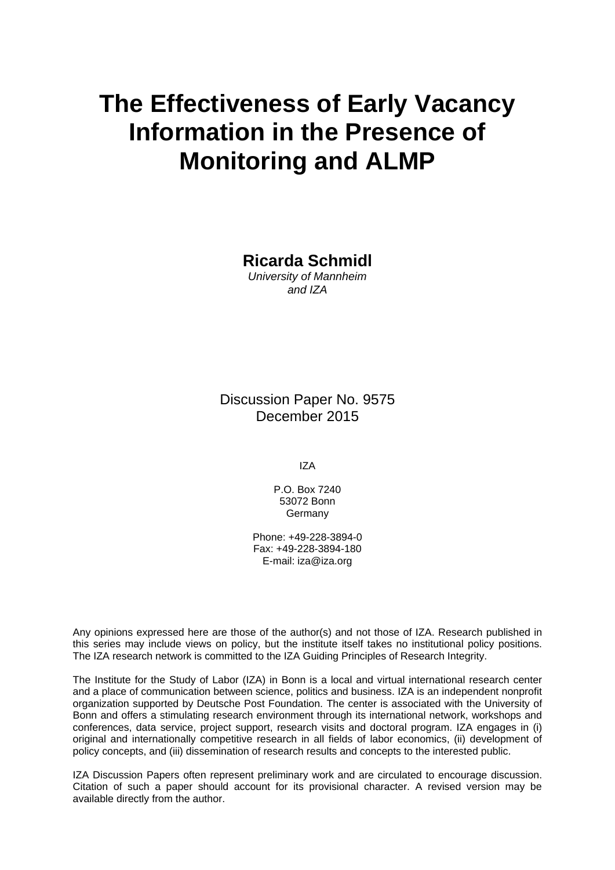# **The Effectiveness of Early Vacancy Information in the Presence of Monitoring and ALMP**

**Ricarda Schmidl** 

*University of Mannheim and IZA* 

Discussion Paper No. 9575 December 2015

IZA

P.O. Box 7240 53072 Bonn **Germany** 

Phone: +49-228-3894-0 Fax: +49-228-3894-180 E-mail: iza@iza.org

Any opinions expressed here are those of the author(s) and not those of IZA. Research published in this series may include views on policy, but the institute itself takes no institutional policy positions. The IZA research network is committed to the IZA Guiding Principles of Research Integrity.

The Institute for the Study of Labor (IZA) in Bonn is a local and virtual international research center and a place of communication between science, politics and business. IZA is an independent nonprofit organization supported by Deutsche Post Foundation. The center is associated with the University of Bonn and offers a stimulating research environment through its international network, workshops and conferences, data service, project support, research visits and doctoral program. IZA engages in (i) original and internationally competitive research in all fields of labor economics, (ii) development of policy concepts, and (iii) dissemination of research results and concepts to the interested public.

IZA Discussion Papers often represent preliminary work and are circulated to encourage discussion. Citation of such a paper should account for its provisional character. A revised version may be available directly from the author.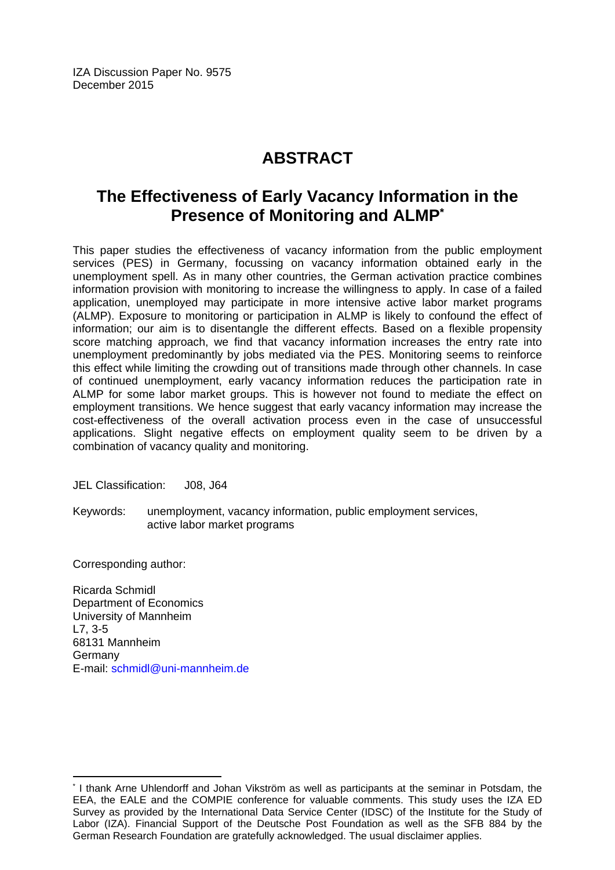IZA Discussion Paper No. 9575 December 2015

## **ABSTRACT**

### **The Effectiveness of Early Vacancy Information in the Presence of Monitoring and ALMP\***

This paper studies the effectiveness of vacancy information from the public employment services (PES) in Germany, focussing on vacancy information obtained early in the unemployment spell. As in many other countries, the German activation practice combines information provision with monitoring to increase the willingness to apply. In case of a failed application, unemployed may participate in more intensive active labor market programs (ALMP). Exposure to monitoring or participation in ALMP is likely to confound the effect of information; our aim is to disentangle the different effects. Based on a flexible propensity score matching approach, we find that vacancy information increases the entry rate into unemployment predominantly by jobs mediated via the PES. Monitoring seems to reinforce this effect while limiting the crowding out of transitions made through other channels. In case of continued unemployment, early vacancy information reduces the participation rate in ALMP for some labor market groups. This is however not found to mediate the effect on employment transitions. We hence suggest that early vacancy information may increase the cost-effectiveness of the overall activation process even in the case of unsuccessful applications. Slight negative effects on employment quality seem to be driven by a combination of vacancy quality and monitoring.

JEL Classification: J08, J64

Keywords: unemployment, vacancy information, public employment services, active labor market programs

Corresponding author:

 $\overline{a}$ 

Ricarda Schmidl Department of Economics University of Mannheim L7, 3-5 68131 Mannheim Germany E-mail: schmidl@uni-mannheim.de

<sup>\*</sup> I thank Arne Uhlendorff and Johan Vikström as well as participants at the seminar in Potsdam, the EEA, the EALE and the COMPIE conference for valuable comments. This study uses the IZA ED Survey as provided by the International Data Service Center (IDSC) of the Institute for the Study of Labor (IZA). Financial Support of the Deutsche Post Foundation as well as the SFB 884 by the German Research Foundation are gratefully acknowledged. The usual disclaimer applies.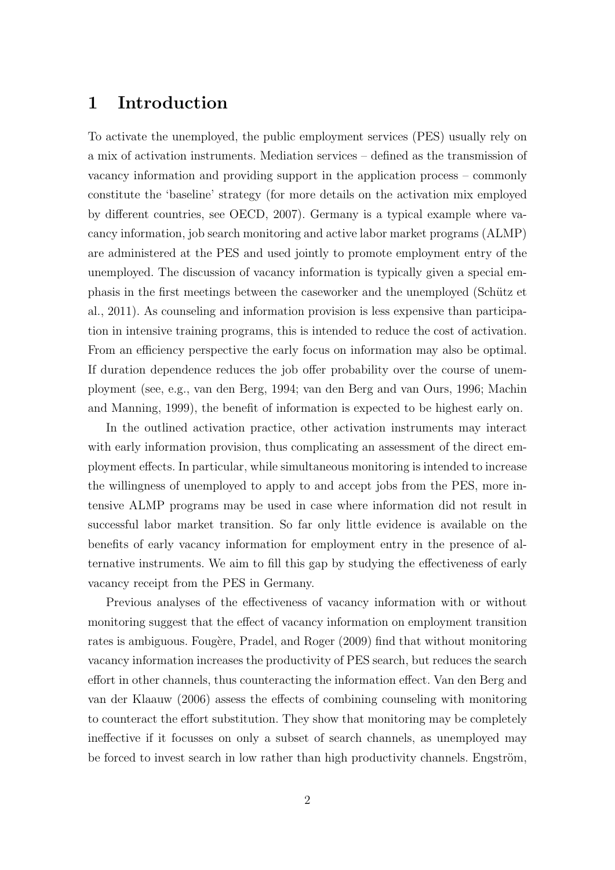### 1 Introduction

To activate the unemployed, the public employment services (PES) usually rely on a mix of activation instruments. Mediation services – defined as the transmission of vacancy information and providing support in the application process – commonly constitute the 'baseline' strategy (for more details on the activation mix employed by different countries, see OECD, 2007). Germany is a typical example where vacancy information, job search monitoring and active labor market programs (ALMP) are administered at the PES and used jointly to promote employment entry of the unemployed. The discussion of vacancy information is typically given a special emphasis in the first meetings between the caseworker and the unemployed (Schütz et al., 2011). As counseling and information provision is less expensive than participation in intensive training programs, this is intended to reduce the cost of activation. From an efficiency perspective the early focus on information may also be optimal. If duration dependence reduces the job offer probability over the course of unemployment (see, e.g., van den Berg, 1994; van den Berg and van Ours, 1996; Machin and Manning, 1999), the benefit of information is expected to be highest early on.

In the outlined activation practice, other activation instruments may interact with early information provision, thus complicating an assessment of the direct employment effects. In particular, while simultaneous monitoring is intended to increase the willingness of unemployed to apply to and accept jobs from the PES, more intensive ALMP programs may be used in case where information did not result in successful labor market transition. So far only little evidence is available on the benefits of early vacancy information for employment entry in the presence of alternative instruments. We aim to fill this gap by studying the effectiveness of early vacancy receipt from the PES in Germany.

Previous analyses of the effectiveness of vacancy information with or without monitoring suggest that the effect of vacancy information on employment transition rates is ambiguous. Fougère, Pradel, and Roger (2009) find that without monitoring vacancy information increases the productivity of PES search, but reduces the search effort in other channels, thus counteracting the information effect. Van den Berg and van der Klaauw (2006) assess the effects of combining counseling with monitoring to counteract the effort substitution. They show that monitoring may be completely ineffective if it focusses on only a subset of search channels, as unemployed may be forced to invest search in low rather than high productivity channels. Engström,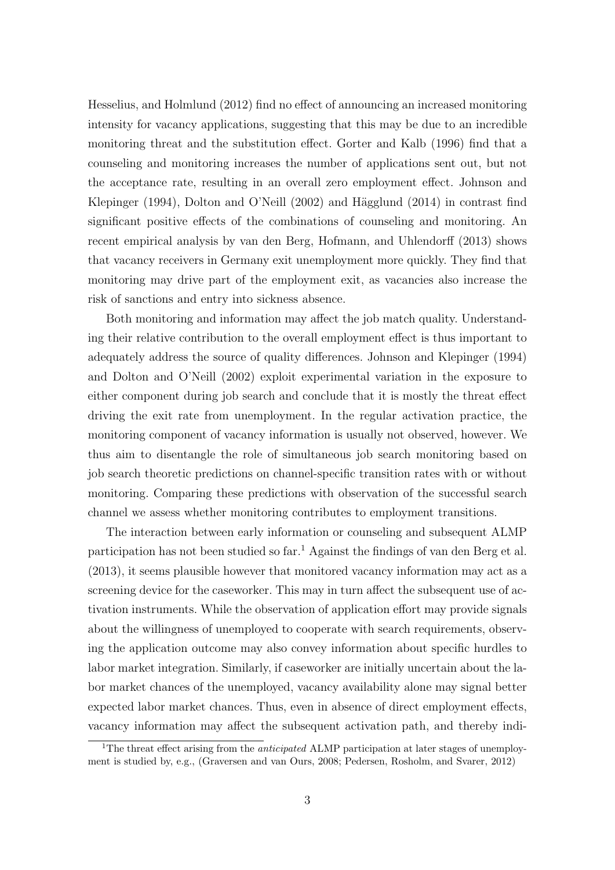Hesselius, and Holmlund (2012) find no effect of announcing an increased monitoring intensity for vacancy applications, suggesting that this may be due to an incredible monitoring threat and the substitution effect. Gorter and Kalb (1996) find that a counseling and monitoring increases the number of applications sent out, but not the acceptance rate, resulting in an overall zero employment effect. Johnson and Klepinger (1994), Dolton and O'Neill (2002) and Hägglund (2014) in contrast find significant positive effects of the combinations of counseling and monitoring. An recent empirical analysis by van den Berg, Hofmann, and Uhlendorff (2013) shows that vacancy receivers in Germany exit unemployment more quickly. They find that monitoring may drive part of the employment exit, as vacancies also increase the risk of sanctions and entry into sickness absence.

Both monitoring and information may affect the job match quality. Understanding their relative contribution to the overall employment effect is thus important to adequately address the source of quality differences. Johnson and Klepinger (1994) and Dolton and O'Neill (2002) exploit experimental variation in the exposure to either component during job search and conclude that it is mostly the threat effect driving the exit rate from unemployment. In the regular activation practice, the monitoring component of vacancy information is usually not observed, however. We thus aim to disentangle the role of simultaneous job search monitoring based on job search theoretic predictions on channel-specific transition rates with or without monitoring. Comparing these predictions with observation of the successful search channel we assess whether monitoring contributes to employment transitions.

The interaction between early information or counseling and subsequent ALMP participation has not been studied so far.<sup>1</sup> Against the findings of van den Berg et al. (2013), it seems plausible however that monitored vacancy information may act as a screening device for the caseworker. This may in turn affect the subsequent use of activation instruments. While the observation of application effort may provide signals about the willingness of unemployed to cooperate with search requirements, observing the application outcome may also convey information about specific hurdles to labor market integration. Similarly, if caseworker are initially uncertain about the labor market chances of the unemployed, vacancy availability alone may signal better expected labor market chances. Thus, even in absence of direct employment effects, vacancy information may affect the subsequent activation path, and thereby indi-

<sup>&</sup>lt;sup>1</sup>The threat effect arising from the *anticipated* ALMP participation at later stages of unemployment is studied by, e.g., (Graversen and van Ours, 2008; Pedersen, Rosholm, and Svarer, 2012)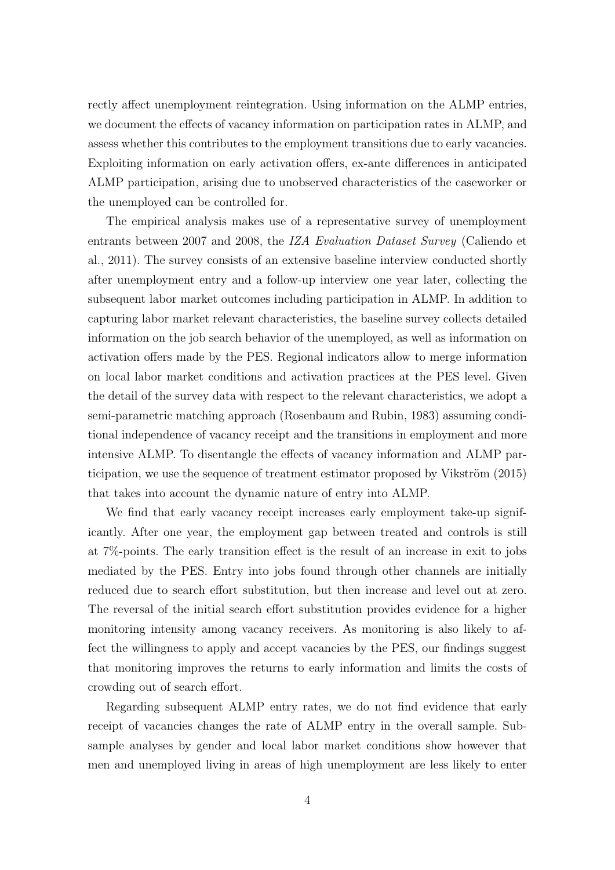rectly affect unemployment reintegration. Using information on the ALMP entries, we document the effects of vacancy information on participation rates in ALMP, and assess whether this contributes to the employment transitions due to early vacancies. Exploiting information on early activation offers, ex-ante differences in anticipated ALMP participation, arising due to unobserved characteristics of the caseworker or the unemployed can be controlled for.

The empirical analysis makes use of a representative survey of unemployment entrants between 2007 and 2008, the *IZA Evaluation Dataset Survey* (Caliendo et al., 2011). The survey consists of an extensive baseline interview conducted shortly after unemployment entry and a follow-up interview one year later, collecting the subsequent labor market outcomes including participation in ALMP. In addition to capturing labor market relevant characteristics, the baseline survey collects detailed information on the job search behavior of the unemployed, as well as information on activation offers made by the PES. Regional indicators allow to merge information on local labor market conditions and activation practices at the PES level. Given the detail of the survey data with respect to the relevant characteristics, we adopt a semi-parametric matching approach (Rosenbaum and Rubin, 1983) assuming conditional independence of vacancy receipt and the transitions in employment and more intensive ALMP. To disentangle the effects of vacancy information and ALMP participation, we use the sequence of treatment estimator proposed by Vikström (2015) that takes into account the dynamic nature of entry into ALMP.

We find that early vacancy receipt increases early employment take-up significantly. After one year, the employment gap between treated and controls is still at 7%-points. The early transition effect is the result of an increase in exit to jobs mediated by the PES. Entry into jobs found through other channels are initially reduced due to search effort substitution, but then increase and level out at zero. The reversal of the initial search effort substitution provides evidence for a higher monitoring intensity among vacancy receivers. As monitoring is also likely to affect the willingness to apply and accept vacancies by the PES, our findings suggest that monitoring improves the returns to early information and limits the costs of crowding out of search effort.

Regarding subsequent ALMP entry rates, we do not find evidence that early receipt of vacancies changes the rate of ALMP entry in the overall sample. Subsample analyses by gender and local labor market conditions show however that men and unemployed living in areas of high unemployment are less likely to enter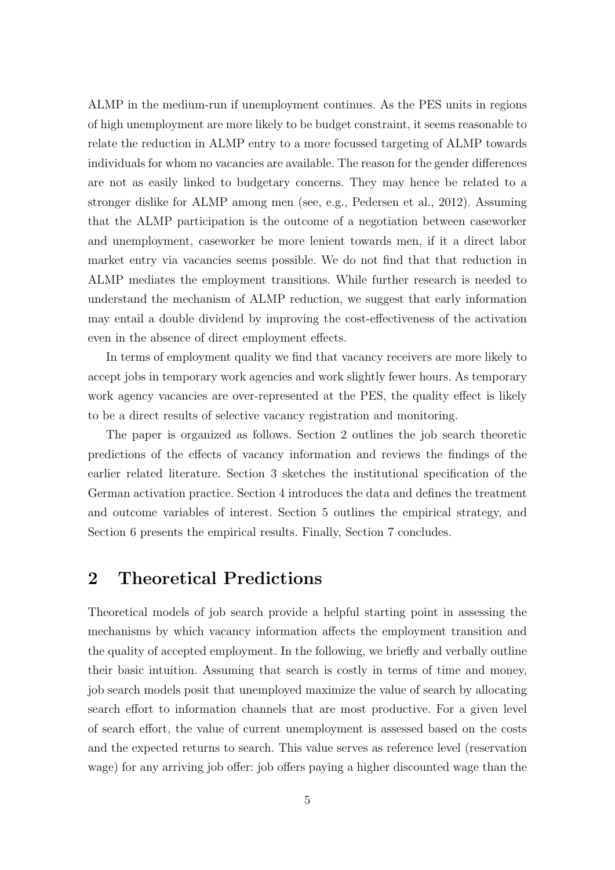ALMP in the medium-run if unemployment continues. As the PES units in regions of high unemployment are more likely to be budget constraint, it seems reasonable to relate the reduction in ALMP entry to a more focussed targeting of ALMP towards individuals for whom no vacancies are available. The reason for the gender differences are not as easily linked to budgetary concerns. They may hence be related to a stronger dislike for ALMP among men (see, e.g., Pedersen et al., 2012). Assuming that the ALMP participation is the outcome of a negotiation between caseworker and unemployment, caseworker be more lenient towards men, if it a direct labor market entry via vacancies seems possible. We do not find that that reduction in ALMP mediates the employment transitions. While further research is needed to understand the mechanism of ALMP reduction, we suggest that early information may entail a double dividend by improving the cost-effectiveness of the activation even in the absence of direct employment effects.

In terms of employment quality we find that vacancy receivers are more likely to accept jobs in temporary work agencies and work slightly fewer hours. As temporary work agency vacancies are over-represented at the PES, the quality effect is likely to be a direct results of selective vacancy registration and monitoring.

The paper is organized as follows. Section 2 outlines the job search theoretic predictions of the effects of vacancy information and reviews the findings of the earlier related literature. Section 3 sketches the institutional specification of the German activation practice. Section 4 introduces the data and defines the treatment and outcome variables of interest. Section 5 outlines the empirical strategy, and Section 6 presents the empirical results. Finally, Section 7 concludes.

### 2 Theoretical Predictions

Theoretical models of job search provide a helpful starting point in assessing the mechanisms by which vacancy information affects the employment transition and the quality of accepted employment. In the following, we briefly and verbally outline their basic intuition. Assuming that search is costly in terms of time and money, job search models posit that unemployed maximize the value of search by allocating search effort to information channels that are most productive. For a given level of search effort, the value of current unemployment is assessed based on the costs and the expected returns to search. This value serves as reference level (reservation wage) for any arriving job offer: job offers paying a higher discounted wage than the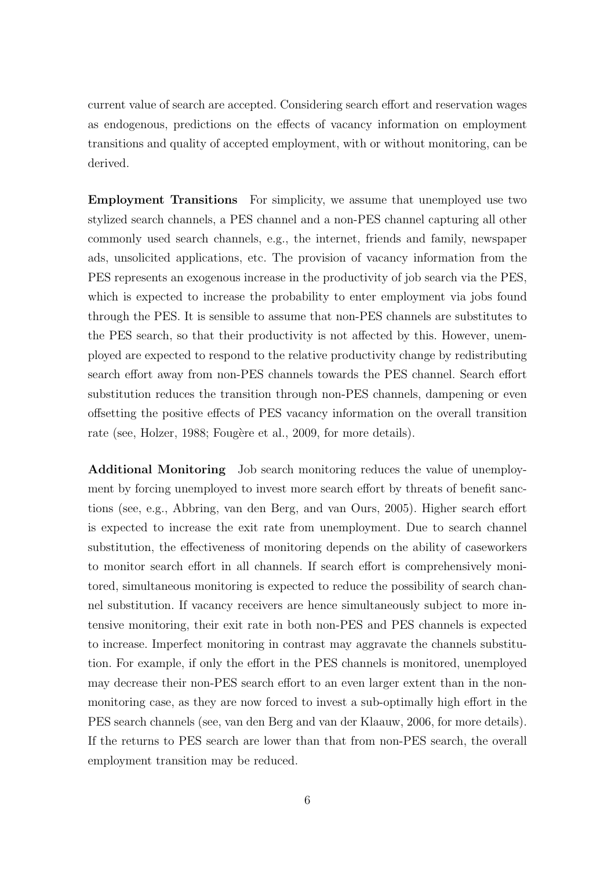current value of search are accepted. Considering search effort and reservation wages as endogenous, predictions on the effects of vacancy information on employment transitions and quality of accepted employment, with or without monitoring, can be derived.

Employment Transitions For simplicity, we assume that unemployed use two stylized search channels, a PES channel and a non-PES channel capturing all other commonly used search channels, e.g., the internet, friends and family, newspaper ads, unsolicited applications, etc. The provision of vacancy information from the PES represents an exogenous increase in the productivity of job search via the PES, which is expected to increase the probability to enter employment via jobs found through the PES. It is sensible to assume that non-PES channels are substitutes to the PES search, so that their productivity is not affected by this. However, unemployed are expected to respond to the relative productivity change by redistributing search effort away from non-PES channels towards the PES channel. Search effort substitution reduces the transition through non-PES channels, dampening or even offsetting the positive effects of PES vacancy information on the overall transition rate (see, Holzer, 1988; Fougère et al., 2009, for more details).

Additional Monitoring Job search monitoring reduces the value of unemployment by forcing unemployed to invest more search effort by threats of benefit sanctions (see, e.g., Abbring, van den Berg, and van Ours, 2005). Higher search effort is expected to increase the exit rate from unemployment. Due to search channel substitution, the effectiveness of monitoring depends on the ability of caseworkers to monitor search effort in all channels. If search effort is comprehensively monitored, simultaneous monitoring is expected to reduce the possibility of search channel substitution. If vacancy receivers are hence simultaneously subject to more intensive monitoring, their exit rate in both non-PES and PES channels is expected to increase. Imperfect monitoring in contrast may aggravate the channels substitution. For example, if only the effort in the PES channels is monitored, unemployed may decrease their non-PES search effort to an even larger extent than in the nonmonitoring case, as they are now forced to invest a sub-optimally high effort in the PES search channels (see, van den Berg and van der Klaauw, 2006, for more details). If the returns to PES search are lower than that from non-PES search, the overall employment transition may be reduced.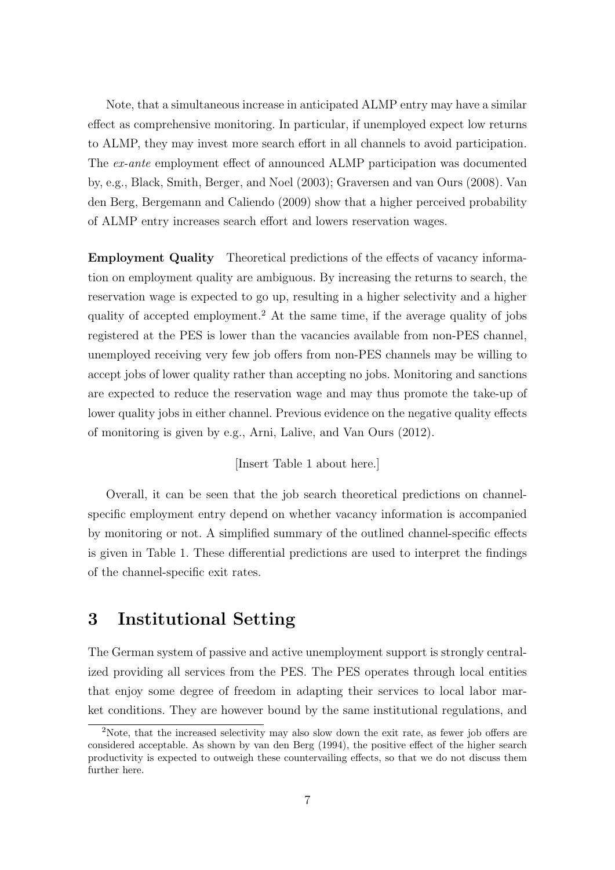Note, that a simultaneous increase in anticipated ALMP entry may have a similar effect as comprehensive monitoring. In particular, if unemployed expect low returns to ALMP, they may invest more search effort in all channels to avoid participation. The ex-ante employment effect of announced ALMP participation was documented by, e.g., Black, Smith, Berger, and Noel (2003); Graversen and van Ours (2008). Van den Berg, Bergemann and Caliendo (2009) show that a higher perceived probability of ALMP entry increases search effort and lowers reservation wages.

Employment Quality Theoretical predictions of the effects of vacancy information on employment quality are ambiguous. By increasing the returns to search, the reservation wage is expected to go up, resulting in a higher selectivity and a higher quality of accepted employment.<sup>2</sup> At the same time, if the average quality of jobs registered at the PES is lower than the vacancies available from non-PES channel, unemployed receiving very few job offers from non-PES channels may be willing to accept jobs of lower quality rather than accepting no jobs. Monitoring and sanctions are expected to reduce the reservation wage and may thus promote the take-up of lower quality jobs in either channel. Previous evidence on the negative quality effects of monitoring is given by e.g., Arni, Lalive, and Van Ours (2012).

#### [Insert Table 1 about here.]

Overall, it can be seen that the job search theoretical predictions on channelspecific employment entry depend on whether vacancy information is accompanied by monitoring or not. A simplified summary of the outlined channel-specific effects is given in Table 1. These differential predictions are used to interpret the findings of the channel-specific exit rates.

### 3 Institutional Setting

The German system of passive and active unemployment support is strongly centralized providing all services from the PES. The PES operates through local entities that enjoy some degree of freedom in adapting their services to local labor market conditions. They are however bound by the same institutional regulations, and

<sup>&</sup>lt;sup>2</sup>Note, that the increased selectivity may also slow down the exit rate, as fewer job offers are considered acceptable. As shown by van den Berg (1994), the positive effect of the higher search productivity is expected to outweigh these countervailing effects, so that we do not discuss them further here.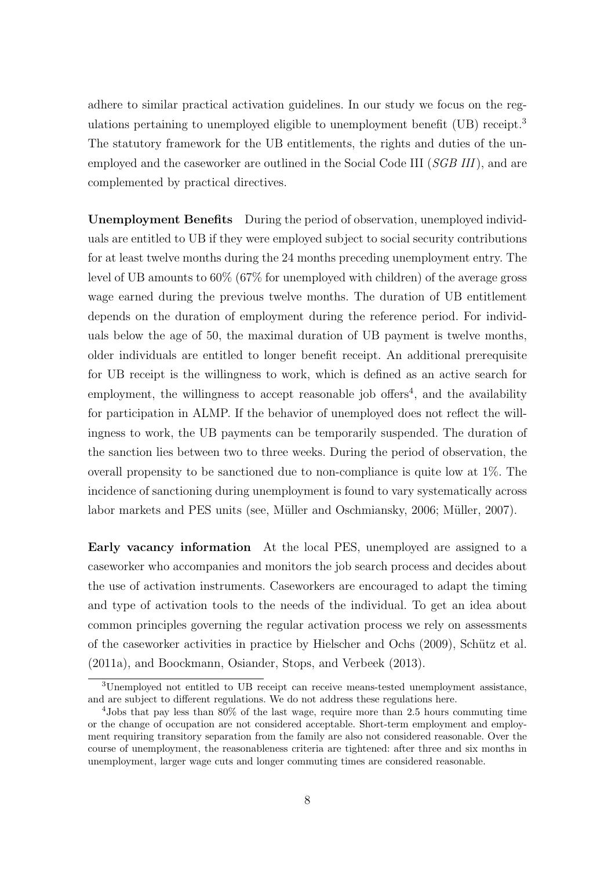adhere to similar practical activation guidelines. In our study we focus on the regulations pertaining to unemployed eligible to unemployment benefit (UB) receipt.<sup>3</sup> The statutory framework for the UB entitlements, the rights and duties of the unemployed and the caseworker are outlined in the Social Code III (SGB III), and are complemented by practical directives.

Unemployment Benefits During the period of observation, unemployed individuals are entitled to UB if they were employed subject to social security contributions for at least twelve months during the 24 months preceding unemployment entry. The level of UB amounts to 60% (67% for unemployed with children) of the average gross wage earned during the previous twelve months. The duration of UB entitlement depends on the duration of employment during the reference period. For individuals below the age of 50, the maximal duration of UB payment is twelve months, older individuals are entitled to longer benefit receipt. An additional prerequisite for UB receipt is the willingness to work, which is defined as an active search for employment, the willingness to accept reasonable job offers<sup>4</sup>, and the availability for participation in ALMP. If the behavior of unemployed does not reflect the willingness to work, the UB payments can be temporarily suspended. The duration of the sanction lies between two to three weeks. During the period of observation, the overall propensity to be sanctioned due to non-compliance is quite low at 1%. The incidence of sanctioning during unemployment is found to vary systematically across labor markets and PES units (see, Müller and Oschmiansky, 2006; Müller, 2007).

Early vacancy information At the local PES, unemployed are assigned to a caseworker who accompanies and monitors the job search process and decides about the use of activation instruments. Caseworkers are encouraged to adapt the timing and type of activation tools to the needs of the individual. To get an idea about common principles governing the regular activation process we rely on assessments of the caseworker activities in practice by Hielscher and Ochs (2009), Schütz et al. (2011a), and Boockmann, Osiander, Stops, and Verbeek (2013).

<sup>3</sup>Unemployed not entitled to UB receipt can receive means-tested unemployment assistance, and are subject to different regulations. We do not address these regulations here.

<sup>4</sup>Jobs that pay less than 80% of the last wage, require more than 2.5 hours commuting time or the change of occupation are not considered acceptable. Short-term employment and employment requiring transitory separation from the family are also not considered reasonable. Over the course of unemployment, the reasonableness criteria are tightened: after three and six months in unemployment, larger wage cuts and longer commuting times are considered reasonable.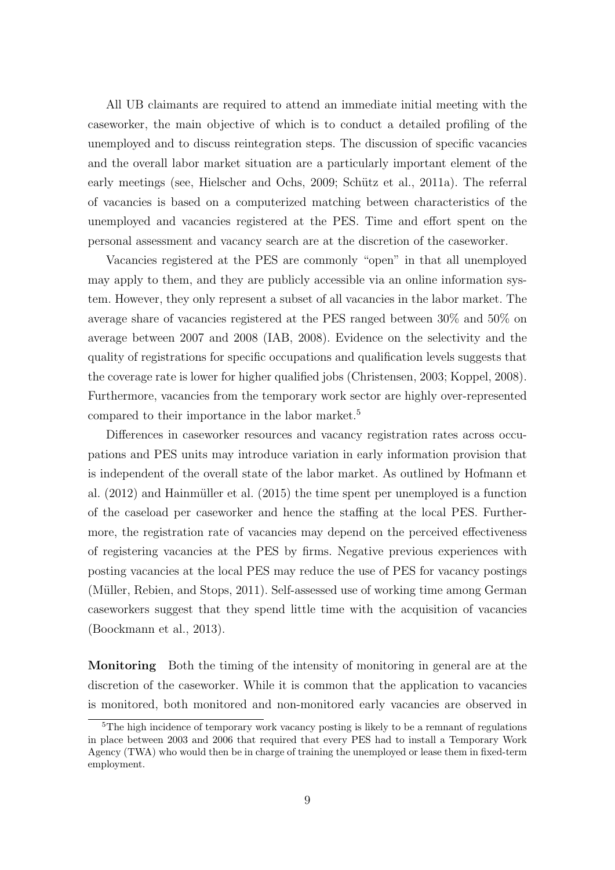All UB claimants are required to attend an immediate initial meeting with the caseworker, the main objective of which is to conduct a detailed profiling of the unemployed and to discuss reintegration steps. The discussion of specific vacancies and the overall labor market situation are a particularly important element of the early meetings (see, Hielscher and Ochs, 2009; Schütz et al., 2011a). The referral of vacancies is based on a computerized matching between characteristics of the unemployed and vacancies registered at the PES. Time and effort spent on the personal assessment and vacancy search are at the discretion of the caseworker.

Vacancies registered at the PES are commonly "open" in that all unemployed may apply to them, and they are publicly accessible via an online information system. However, they only represent a subset of all vacancies in the labor market. The average share of vacancies registered at the PES ranged between 30% and 50% on average between 2007 and 2008 (IAB, 2008). Evidence on the selectivity and the quality of registrations for specific occupations and qualification levels suggests that the coverage rate is lower for higher qualified jobs (Christensen, 2003; Koppel, 2008). Furthermore, vacancies from the temporary work sector are highly over-represented compared to their importance in the labor market.<sup>5</sup>

Differences in caseworker resources and vacancy registration rates across occupations and PES units may introduce variation in early information provision that is independent of the overall state of the labor market. As outlined by Hofmann et al.  $(2012)$  and Hainmüller et al.  $(2015)$  the time spent per unemployed is a function of the caseload per caseworker and hence the staffing at the local PES. Furthermore, the registration rate of vacancies may depend on the perceived effectiveness of registering vacancies at the PES by firms. Negative previous experiences with posting vacancies at the local PES may reduce the use of PES for vacancy postings (Müller, Rebien, and Stops, 2011). Self-assessed use of working time among German caseworkers suggest that they spend little time with the acquisition of vacancies (Boockmann et al., 2013).

Monitoring Both the timing of the intensity of monitoring in general are at the discretion of the caseworker. While it is common that the application to vacancies is monitored, both monitored and non-monitored early vacancies are observed in

<sup>&</sup>lt;sup>5</sup>The high incidence of temporary work vacancy posting is likely to be a remnant of regulations in place between 2003 and 2006 that required that every PES had to install a Temporary Work Agency (TWA) who would then be in charge of training the unemployed or lease them in fixed-term employment.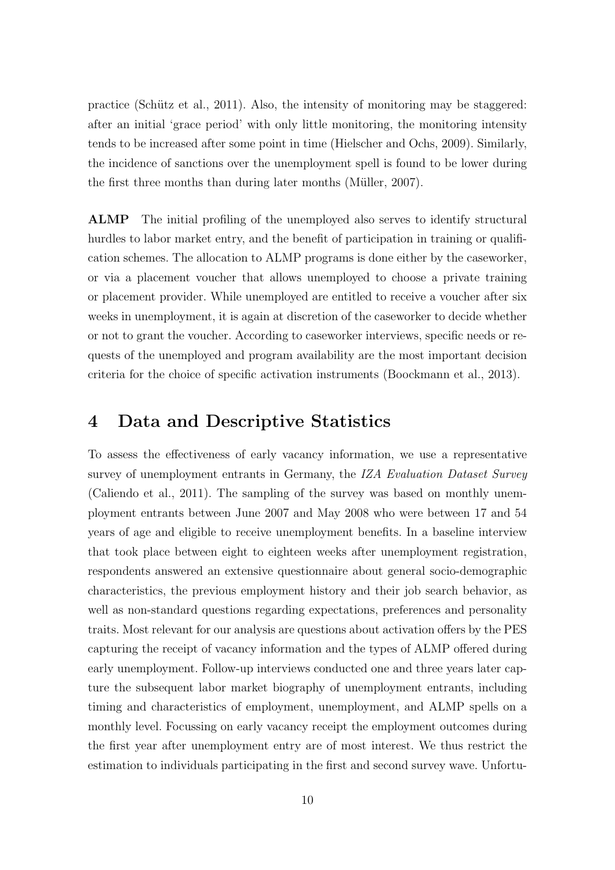practice (Schütz et al., 2011). Also, the intensity of monitoring may be staggered: after an initial 'grace period' with only little monitoring, the monitoring intensity tends to be increased after some point in time (Hielscher and Ochs, 2009). Similarly, the incidence of sanctions over the unemployment spell is found to be lower during the first three months than during later months (Müller, 2007).

ALMP The initial profiling of the unemployed also serves to identify structural hurdles to labor market entry, and the benefit of participation in training or qualification schemes. The allocation to ALMP programs is done either by the caseworker, or via a placement voucher that allows unemployed to choose a private training or placement provider. While unemployed are entitled to receive a voucher after six weeks in unemployment, it is again at discretion of the caseworker to decide whether or not to grant the voucher. According to caseworker interviews, specific needs or requests of the unemployed and program availability are the most important decision criteria for the choice of specific activation instruments (Boockmann et al., 2013).

### 4 Data and Descriptive Statistics

To assess the effectiveness of early vacancy information, we use a representative survey of unemployment entrants in Germany, the IZA Evaluation Dataset Survey (Caliendo et al., 2011). The sampling of the survey was based on monthly unemployment entrants between June 2007 and May 2008 who were between 17 and 54 years of age and eligible to receive unemployment benefits. In a baseline interview that took place between eight to eighteen weeks after unemployment registration, respondents answered an extensive questionnaire about general socio-demographic characteristics, the previous employment history and their job search behavior, as well as non-standard questions regarding expectations, preferences and personality traits. Most relevant for our analysis are questions about activation offers by the PES capturing the receipt of vacancy information and the types of ALMP offered during early unemployment. Follow-up interviews conducted one and three years later capture the subsequent labor market biography of unemployment entrants, including timing and characteristics of employment, unemployment, and ALMP spells on a monthly level. Focussing on early vacancy receipt the employment outcomes during the first year after unemployment entry are of most interest. We thus restrict the estimation to individuals participating in the first and second survey wave. Unfortu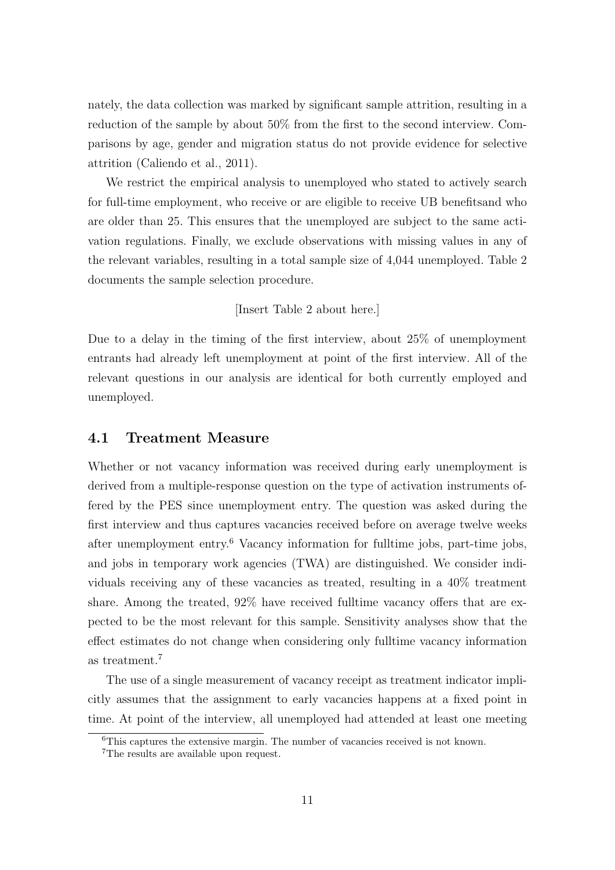nately, the data collection was marked by significant sample attrition, resulting in a reduction of the sample by about 50% from the first to the second interview. Comparisons by age, gender and migration status do not provide evidence for selective attrition (Caliendo et al., 2011).

We restrict the empirical analysis to unemployed who stated to actively search for full-time employment, who receive or are eligible to receive UB benefitsand who are older than 25. This ensures that the unemployed are subject to the same activation regulations. Finally, we exclude observations with missing values in any of the relevant variables, resulting in a total sample size of 4,044 unemployed. Table 2 documents the sample selection procedure.

[Insert Table 2 about here.]

Due to a delay in the timing of the first interview, about 25% of unemployment entrants had already left unemployment at point of the first interview. All of the relevant questions in our analysis are identical for both currently employed and unemployed.

#### 4.1 Treatment Measure

Whether or not vacancy information was received during early unemployment is derived from a multiple-response question on the type of activation instruments offered by the PES since unemployment entry. The question was asked during the first interview and thus captures vacancies received before on average twelve weeks after unemployment entry.<sup>6</sup> Vacancy information for fulltime jobs, part-time jobs, and jobs in temporary work agencies (TWA) are distinguished. We consider individuals receiving any of these vacancies as treated, resulting in a 40% treatment share. Among the treated, 92% have received fulltime vacancy offers that are expected to be the most relevant for this sample. Sensitivity analyses show that the effect estimates do not change when considering only fulltime vacancy information as treatment.<sup>7</sup>

The use of a single measurement of vacancy receipt as treatment indicator implicitly assumes that the assignment to early vacancies happens at a fixed point in time. At point of the interview, all unemployed had attended at least one meeting

<sup>&</sup>lt;sup>6</sup>This captures the extensive margin. The number of vacancies received is not known.

<sup>&</sup>lt;sup>7</sup>The results are available upon request.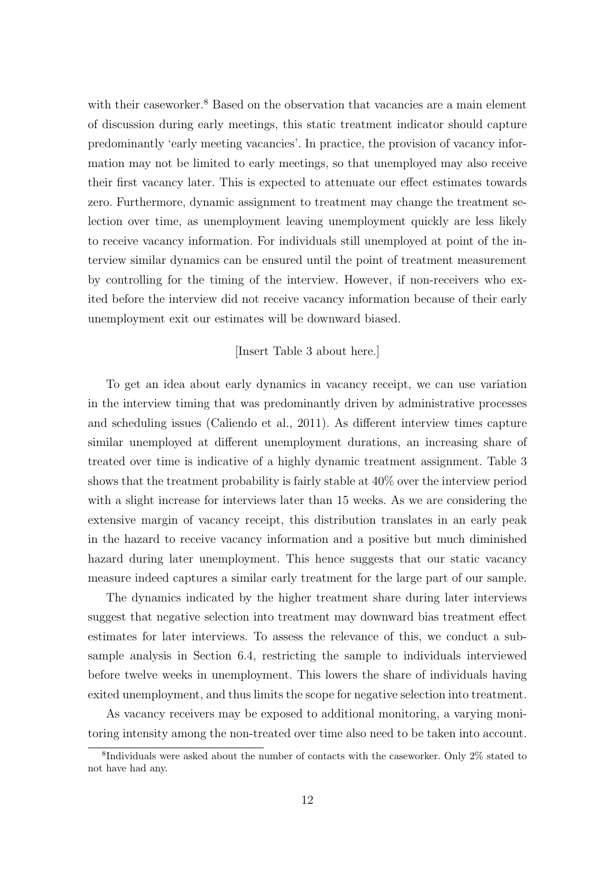with their caseworker.<sup>8</sup> Based on the observation that vacancies are a main element of discussion during early meetings, this static treatment indicator should capture predominantly 'early meeting vacancies'. In practice, the provision of vacancy information may not be limited to early meetings, so that unemployed may also receive their first vacancy later. This is expected to attenuate our effect estimates towards zero. Furthermore, dynamic assignment to treatment may change the treatment selection over time, as unemployment leaving unemployment quickly are less likely to receive vacancy information. For individuals still unemployed at point of the interview similar dynamics can be ensured until the point of treatment measurement by controlling for the timing of the interview. However, if non-receivers who exited before the interview did not receive vacancy information because of their early unemployment exit our estimates will be downward biased.

#### [Insert Table 3 about here.]

To get an idea about early dynamics in vacancy receipt, we can use variation in the interview timing that was predominantly driven by administrative processes and scheduling issues (Caliendo et al., 2011). As different interview times capture similar unemployed at different unemployment durations, an increasing share of treated over time is indicative of a highly dynamic treatment assignment. Table 3 shows that the treatment probability is fairly stable at 40% over the interview period with a slight increase for interviews later than 15 weeks. As we are considering the extensive margin of vacancy receipt, this distribution translates in an early peak in the hazard to receive vacancy information and a positive but much diminished hazard during later unemployment. This hence suggests that our static vacancy measure indeed captures a similar early treatment for the large part of our sample.

The dynamics indicated by the higher treatment share during later interviews suggest that negative selection into treatment may downward bias treatment effect estimates for later interviews. To assess the relevance of this, we conduct a subsample analysis in Section 6.4, restricting the sample to individuals interviewed before twelve weeks in unemployment. This lowers the share of individuals having exited unemployment, and thus limits the scope for negative selection into treatment.

As vacancy receivers may be exposed to additional monitoring, a varying monitoring intensity among the non-treated over time also need to be taken into account.

<sup>&</sup>lt;sup>8</sup>Individuals were asked about the number of contacts with the caseworker. Only  $2\%$  stated to not have had any.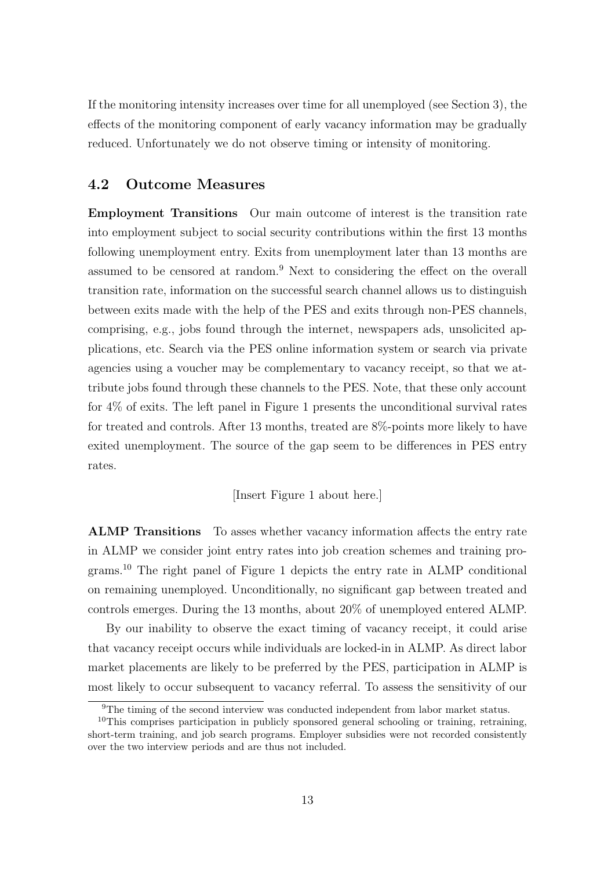If the monitoring intensity increases over time for all unemployed (see Section 3), the effects of the monitoring component of early vacancy information may be gradually reduced. Unfortunately we do not observe timing or intensity of monitoring.

#### 4.2 Outcome Measures

Employment Transitions Our main outcome of interest is the transition rate into employment subject to social security contributions within the first 13 months following unemployment entry. Exits from unemployment later than 13 months are assumed to be censored at random.<sup>9</sup> Next to considering the effect on the overall transition rate, information on the successful search channel allows us to distinguish between exits made with the help of the PES and exits through non-PES channels, comprising, e.g., jobs found through the internet, newspapers ads, unsolicited applications, etc. Search via the PES online information system or search via private agencies using a voucher may be complementary to vacancy receipt, so that we attribute jobs found through these channels to the PES. Note, that these only account for 4% of exits. The left panel in Figure 1 presents the unconditional survival rates for treated and controls. After 13 months, treated are 8%-points more likely to have exited unemployment. The source of the gap seem to be differences in PES entry rates.

#### [Insert Figure 1 about here.]

ALMP Transitions To asses whether vacancy information affects the entry rate in ALMP we consider joint entry rates into job creation schemes and training programs.<sup>10</sup> The right panel of Figure 1 depicts the entry rate in ALMP conditional on remaining unemployed. Unconditionally, no significant gap between treated and controls emerges. During the 13 months, about 20% of unemployed entered ALMP.

By our inability to observe the exact timing of vacancy receipt, it could arise that vacancy receipt occurs while individuals are locked-in in ALMP. As direct labor market placements are likely to be preferred by the PES, participation in ALMP is most likely to occur subsequent to vacancy referral. To assess the sensitivity of our

 $9$ The timing of the second interview was conducted independent from labor market status.

<sup>&</sup>lt;sup>10</sup>This comprises participation in publicly sponsored general schooling or training, retraining, short-term training, and job search programs. Employer subsidies were not recorded consistently over the two interview periods and are thus not included.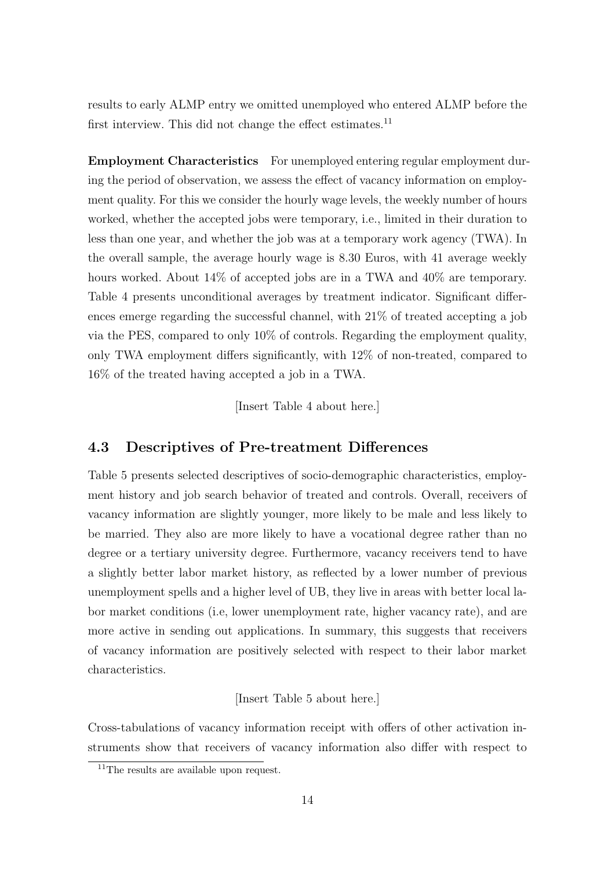results to early ALMP entry we omitted unemployed who entered ALMP before the first interview. This did not change the effect estimates. $^{11}$ 

Employment Characteristics For unemployed entering regular employment during the period of observation, we assess the effect of vacancy information on employment quality. For this we consider the hourly wage levels, the weekly number of hours worked, whether the accepted jobs were temporary, i.e., limited in their duration to less than one year, and whether the job was at a temporary work agency (TWA). In the overall sample, the average hourly wage is 8.30 Euros, with 41 average weekly hours worked. About 14% of accepted jobs are in a TWA and 40% are temporary. Table 4 presents unconditional averages by treatment indicator. Significant differences emerge regarding the successful channel, with 21% of treated accepting a job via the PES, compared to only 10% of controls. Regarding the employment quality, only TWA employment differs significantly, with 12% of non-treated, compared to 16% of the treated having accepted a job in a TWA.

[Insert Table 4 about here.]

#### 4.3 Descriptives of Pre-treatment Differences

Table 5 presents selected descriptives of socio-demographic characteristics, employment history and job search behavior of treated and controls. Overall, receivers of vacancy information are slightly younger, more likely to be male and less likely to be married. They also are more likely to have a vocational degree rather than no degree or a tertiary university degree. Furthermore, vacancy receivers tend to have a slightly better labor market history, as reflected by a lower number of previous unemployment spells and a higher level of UB, they live in areas with better local labor market conditions (i.e, lower unemployment rate, higher vacancy rate), and are more active in sending out applications. In summary, this suggests that receivers of vacancy information are positively selected with respect to their labor market characteristics.

#### [Insert Table 5 about here.]

Cross-tabulations of vacancy information receipt with offers of other activation instruments show that receivers of vacancy information also differ with respect to

<sup>&</sup>lt;sup>11</sup>The results are available upon request.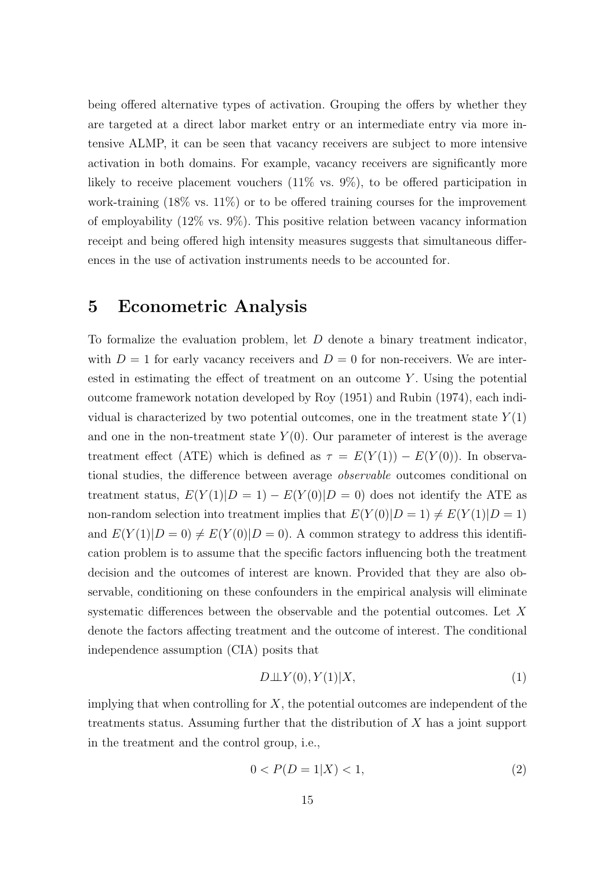being offered alternative types of activation. Grouping the offers by whether they are targeted at a direct labor market entry or an intermediate entry via more intensive ALMP, it can be seen that vacancy receivers are subject to more intensive activation in both domains. For example, vacancy receivers are significantly more likely to receive placement vouchers (11% vs. 9%), to be offered participation in work-training (18% vs. 11%) or to be offered training courses for the improvement of employability (12% vs. 9%). This positive relation between vacancy information receipt and being offered high intensity measures suggests that simultaneous differences in the use of activation instruments needs to be accounted for.

### 5 Econometric Analysis

To formalize the evaluation problem, let D denote a binary treatment indicator, with  $D = 1$  for early vacancy receivers and  $D = 0$  for non-receivers. We are interested in estimating the effect of treatment on an outcome Y. Using the potential outcome framework notation developed by Roy (1951) and Rubin (1974), each individual is characterized by two potential outcomes, one in the treatment state  $Y(1)$ and one in the non-treatment state  $Y(0)$ . Our parameter of interest is the average treatment effect (ATE) which is defined as  $\tau = E(Y(1)) - E(Y(0))$ . In observational studies, the difference between average observable outcomes conditional on treatment status,  $E(Y(1)|D = 1) - E(Y(0)|D = 0)$  does not identify the ATE as non-random selection into treatment implies that  $E(Y(0)|D = 1) \neq E(Y(1)|D = 1)$ and  $E(Y(1)|D=0) \neq E(Y(0)|D=0)$ . A common strategy to address this identification problem is to assume that the specific factors influencing both the treatment decision and the outcomes of interest are known. Provided that they are also observable, conditioning on these confounders in the empirical analysis will eliminate systematic differences between the observable and the potential outcomes. Let X denote the factors affecting treatment and the outcome of interest. The conditional independence assumption (CIA) posits that

$$
D \perp \!\!\!\perp Y(0), Y(1)|X,\tag{1}
$$

implying that when controlling for  $X$ , the potential outcomes are independent of the treatments status. Assuming further that the distribution of X has a joint support in the treatment and the control group, i.e.,

$$
0 < P(D = 1|X) < 1,\tag{2}
$$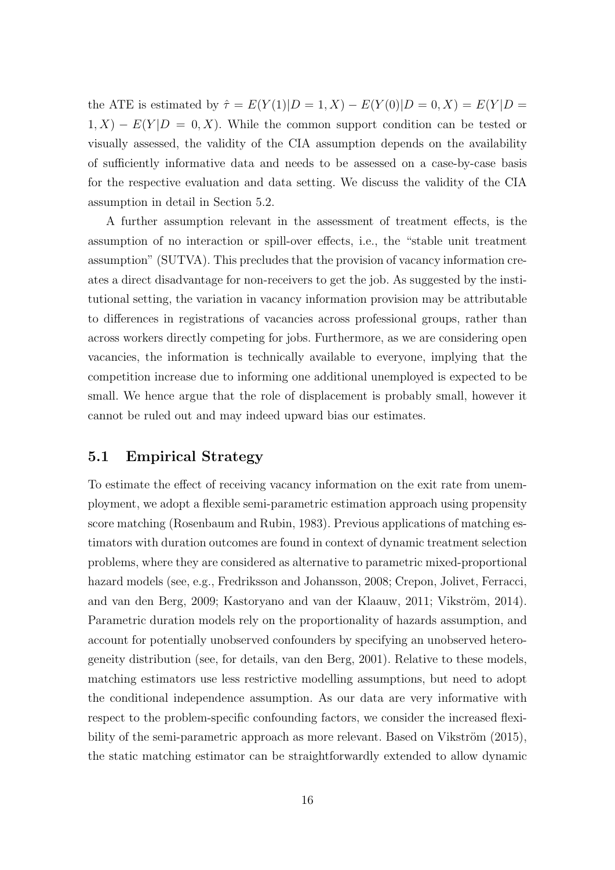the ATE is estimated by  $\hat{\tau} = E(Y(1)|D = 1, X) - E(Y(0)|D = 0, X) = E(Y|D = 0)$  $1, X$ ) –  $E(Y|D = 0, X)$ . While the common support condition can be tested or visually assessed, the validity of the CIA assumption depends on the availability of sufficiently informative data and needs to be assessed on a case-by-case basis for the respective evaluation and data setting. We discuss the validity of the CIA assumption in detail in Section 5.2.

A further assumption relevant in the assessment of treatment effects, is the assumption of no interaction or spill-over effects, i.e., the "stable unit treatment assumption" (SUTVA). This precludes that the provision of vacancy information creates a direct disadvantage for non-receivers to get the job. As suggested by the institutional setting, the variation in vacancy information provision may be attributable to differences in registrations of vacancies across professional groups, rather than across workers directly competing for jobs. Furthermore, as we are considering open vacancies, the information is technically available to everyone, implying that the competition increase due to informing one additional unemployed is expected to be small. We hence argue that the role of displacement is probably small, however it cannot be ruled out and may indeed upward bias our estimates.

#### 5.1 Empirical Strategy

To estimate the effect of receiving vacancy information on the exit rate from unemployment, we adopt a flexible semi-parametric estimation approach using propensity score matching (Rosenbaum and Rubin, 1983). Previous applications of matching estimators with duration outcomes are found in context of dynamic treatment selection problems, where they are considered as alternative to parametric mixed-proportional hazard models (see, e.g., Fredriksson and Johansson, 2008; Crepon, Jolivet, Ferracci, and van den Berg, 2009; Kastoryano and van der Klaauw, 2011; Vikström, 2014). Parametric duration models rely on the proportionality of hazards assumption, and account for potentially unobserved confounders by specifying an unobserved heterogeneity distribution (see, for details, van den Berg, 2001). Relative to these models, matching estimators use less restrictive modelling assumptions, but need to adopt the conditional independence assumption. As our data are very informative with respect to the problem-specific confounding factors, we consider the increased flexibility of the semi-parametric approach as more relevant. Based on Vikström  $(2015)$ , the static matching estimator can be straightforwardly extended to allow dynamic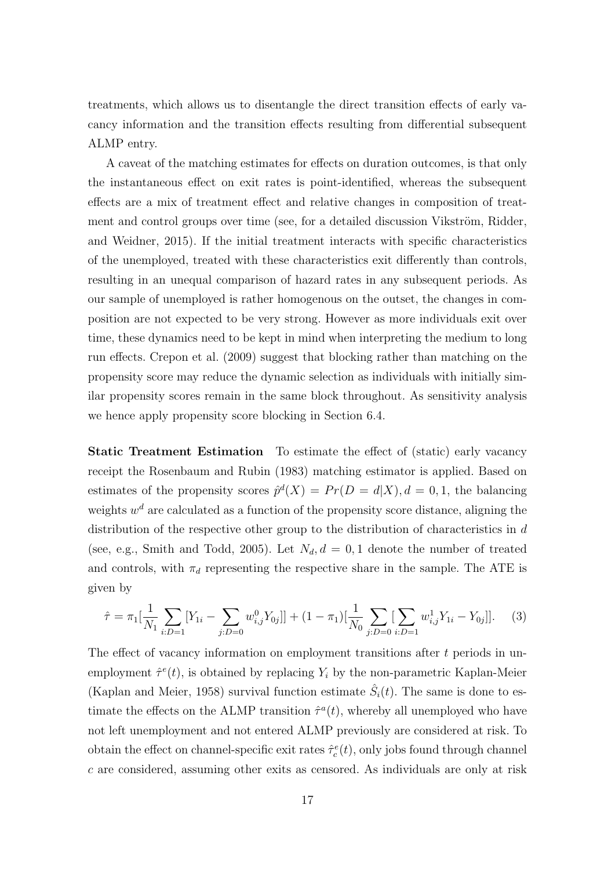treatments, which allows us to disentangle the direct transition effects of early vacancy information and the transition effects resulting from differential subsequent ALMP entry.

A caveat of the matching estimates for effects on duration outcomes, is that only the instantaneous effect on exit rates is point-identified, whereas the subsequent effects are a mix of treatment effect and relative changes in composition of treatment and control groups over time (see, for a detailed discussion Vikström, Ridder, and Weidner, 2015). If the initial treatment interacts with specific characteristics of the unemployed, treated with these characteristics exit differently than controls, resulting in an unequal comparison of hazard rates in any subsequent periods. As our sample of unemployed is rather homogenous on the outset, the changes in composition are not expected to be very strong. However as more individuals exit over time, these dynamics need to be kept in mind when interpreting the medium to long run effects. Crepon et al. (2009) suggest that blocking rather than matching on the propensity score may reduce the dynamic selection as individuals with initially similar propensity scores remain in the same block throughout. As sensitivity analysis we hence apply propensity score blocking in Section 6.4.

Static Treatment Estimation To estimate the effect of (static) early vacancy receipt the Rosenbaum and Rubin (1983) matching estimator is applied. Based on estimates of the propensity scores  $\hat{p}^d(X) = Pr(D = d|X), d = 0, 1$ , the balancing weights  $w<sup>d</sup>$  are calculated as a function of the propensity score distance, aligning the distribution of the respective other group to the distribution of characteristics in d (see, e.g., Smith and Todd, 2005). Let  $N_d$ ,  $d = 0, 1$  denote the number of treated and controls, with  $\pi_d$  representing the respective share in the sample. The ATE is given by

$$
\hat{\tau} = \pi_1 \left[ \frac{1}{N_1} \sum_{i:D=1} [Y_{1i} - \sum_{j:D=0} w_{i,j}^0 Y_{0j}]] + (1 - \pi_1) \left[ \frac{1}{N_0} \sum_{j:D=0} \sum_{i:D=1} w_{i,j}^1 Y_{1i} - Y_{0j} \right] \right].
$$
 (3)

The effect of vacancy information on employment transitions after  $t$  periods in unemployment  $\hat{\tau}^e(t)$ , is obtained by replacing  $Y_i$  by the non-parametric Kaplan-Meier (Kaplan and Meier, 1958) survival function estimate  $\hat{S}_i(t)$ . The same is done to estimate the effects on the ALMP transition  $\hat{\tau}^a(t)$ , whereby all unemployed who have not left unemployment and not entered ALMP previously are considered at risk. To obtain the effect on channel-specific exit rates  $\hat{\tau}_c^e(t)$ , only jobs found through channel c are considered, assuming other exits as censored. As individuals are only at risk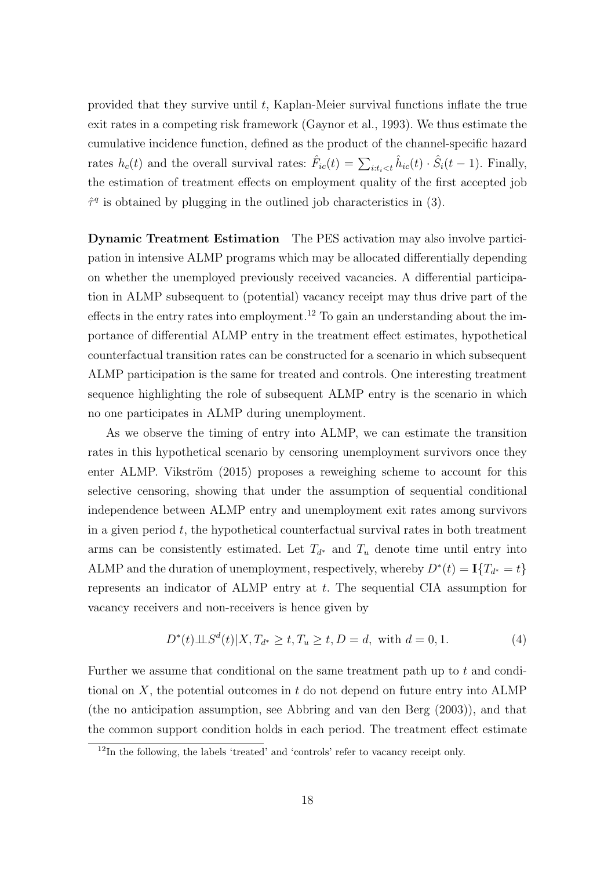provided that they survive until  $t$ , Kaplan-Meier survival functions inflate the true exit rates in a competing risk framework (Gaynor et al., 1993). We thus estimate the cumulative incidence function, defined as the product of the channel-specific hazard rates  $h_c(t)$  and the overall survival rates:  $\hat{F}_{ic}(t) = \sum_{i:t_i < t} \hat{h}_{ic}(t) \cdot \hat{S}_i(t-1)$ . Finally, the estimation of treatment effects on employment quality of the first accepted job  $\hat{\tau}^q$  is obtained by plugging in the outlined job characteristics in (3).

Dynamic Treatment Estimation The PES activation may also involve participation in intensive ALMP programs which may be allocated differentially depending on whether the unemployed previously received vacancies. A differential participation in ALMP subsequent to (potential) vacancy receipt may thus drive part of the effects in the entry rates into employment.<sup>12</sup> To gain an understanding about the importance of differential ALMP entry in the treatment effect estimates, hypothetical counterfactual transition rates can be constructed for a scenario in which subsequent ALMP participation is the same for treated and controls. One interesting treatment sequence highlighting the role of subsequent ALMP entry is the scenario in which no one participates in ALMP during unemployment.

As we observe the timing of entry into ALMP, we can estimate the transition rates in this hypothetical scenario by censoring unemployment survivors once they enter ALMP. Vikström  $(2015)$  proposes a reweighing scheme to account for this selective censoring, showing that under the assumption of sequential conditional independence between ALMP entry and unemployment exit rates among survivors in a given period  $t$ , the hypothetical counterfactual survival rates in both treatment arms can be consistently estimated. Let  $T_{d^*}$  and  $T_u$  denote time until entry into ALMP and the duration of unemployment, respectively, whereby  $D^*(t) = \mathbf{I}\{T_{d^*} = t\}$ represents an indicator of ALMP entry at  $t$ . The sequential CIA assumption for vacancy receivers and non-receivers is hence given by

$$
D^*(t) \perp \!\!\! \perp S^d(t) | X, T_{d^*} \ge t, T_u \ge t, D = d, \text{ with } d = 0, 1.
$$
 (4)

Further we assume that conditional on the same treatment path up to  $t$  and conditional on  $X$ , the potential outcomes in t do not depend on future entry into ALMP (the no anticipation assumption, see Abbring and van den Berg (2003)), and that the common support condition holds in each period. The treatment effect estimate

<sup>&</sup>lt;sup>12</sup>In the following, the labels 'treated' and 'controls' refer to vacancy receipt only.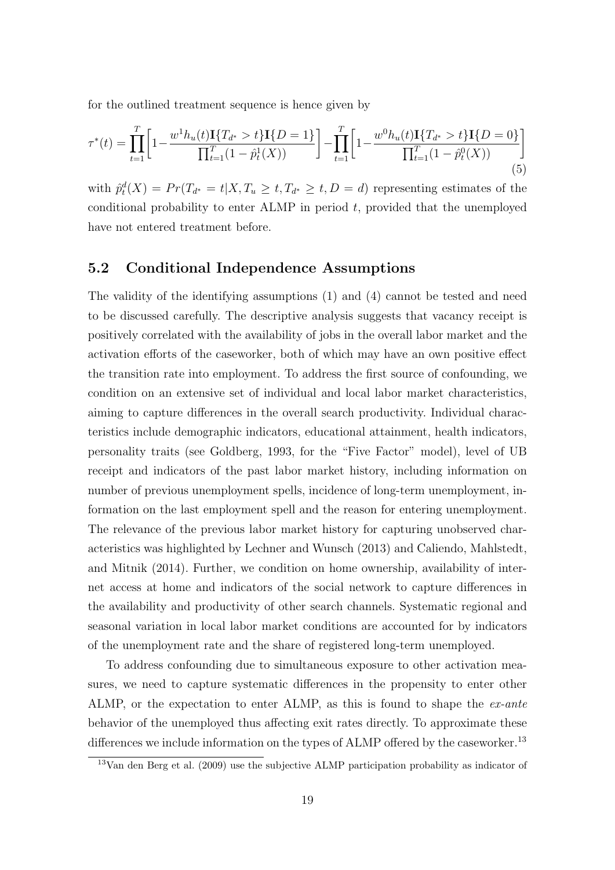for the outlined treatment sequence is hence given by

$$
\tau^*(t) = \prod_{t=1}^T \left[ 1 - \frac{w^1 h_u(t) \mathbf{I} \{ T_{d^*} > t \} \mathbf{I} \{ D = 1 \}}{\prod_{t=1}^T (1 - \hat{p}_t^1(X))} \right] - \prod_{t=1}^T \left[ 1 - \frac{w^0 h_u(t) \mathbf{I} \{ T_{d^*} > t \} \mathbf{I} \{ D = 0 \}}{\prod_{t=1}^T (1 - \hat{p}_t^0(X))} \right]
$$
(5)

with  $\hat{p}_t^d(X) = Pr(T_{d^*} = t | X, T_u \ge t, T_{d^*} \ge t, D = d)$  representing estimates of the conditional probability to enter ALMP in period  $t$ , provided that the unemployed have not entered treatment before.

#### 5.2 Conditional Independence Assumptions

The validity of the identifying assumptions (1) and (4) cannot be tested and need to be discussed carefully. The descriptive analysis suggests that vacancy receipt is positively correlated with the availability of jobs in the overall labor market and the activation efforts of the caseworker, both of which may have an own positive effect the transition rate into employment. To address the first source of confounding, we condition on an extensive set of individual and local labor market characteristics, aiming to capture differences in the overall search productivity. Individual characteristics include demographic indicators, educational attainment, health indicators, personality traits (see Goldberg, 1993, for the "Five Factor" model), level of UB receipt and indicators of the past labor market history, including information on number of previous unemployment spells, incidence of long-term unemployment, information on the last employment spell and the reason for entering unemployment. The relevance of the previous labor market history for capturing unobserved characteristics was highlighted by Lechner and Wunsch (2013) and Caliendo, Mahlstedt, and Mitnik (2014). Further, we condition on home ownership, availability of internet access at home and indicators of the social network to capture differences in the availability and productivity of other search channels. Systematic regional and seasonal variation in local labor market conditions are accounted for by indicators of the unemployment rate and the share of registered long-term unemployed.

To address confounding due to simultaneous exposure to other activation measures, we need to capture systematic differences in the propensity to enter other ALMP, or the expectation to enter ALMP, as this is found to shape the  $ex$ -ante behavior of the unemployed thus affecting exit rates directly. To approximate these differences we include information on the types of ALMP offered by the caseworker.<sup>13</sup>

 $13$ Van den Berg et al. (2009) use the subjective ALMP participation probability as indicator of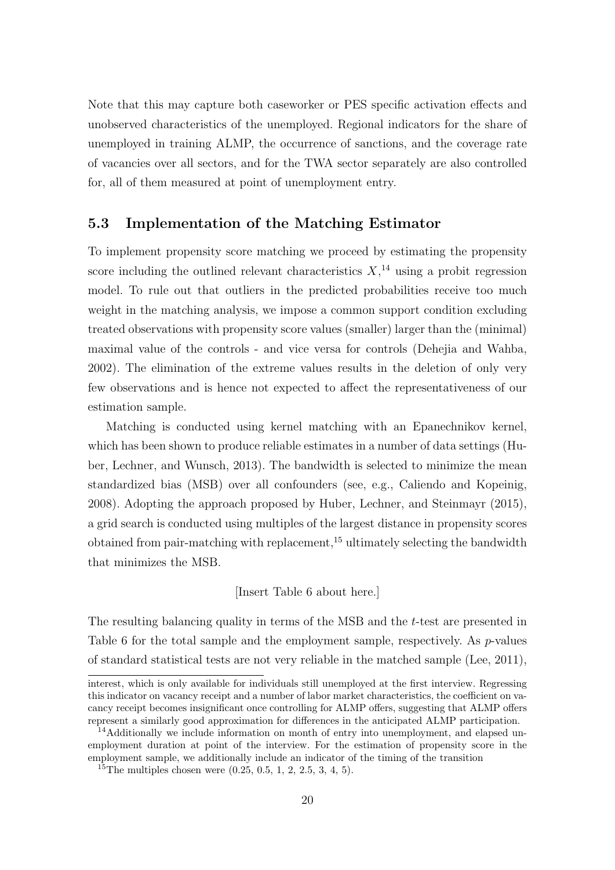Note that this may capture both caseworker or PES specific activation effects and unobserved characteristics of the unemployed. Regional indicators for the share of unemployed in training ALMP, the occurrence of sanctions, and the coverage rate of vacancies over all sectors, and for the TWA sector separately are also controlled for, all of them measured at point of unemployment entry.

#### 5.3 Implementation of the Matching Estimator

To implement propensity score matching we proceed by estimating the propensity score including the outlined relevant characteristics  $X$ <sup>14</sup>, using a probit regression model. To rule out that outliers in the predicted probabilities receive too much weight in the matching analysis, we impose a common support condition excluding treated observations with propensity score values (smaller) larger than the (minimal) maximal value of the controls - and vice versa for controls (Dehejia and Wahba, 2002). The elimination of the extreme values results in the deletion of only very few observations and is hence not expected to affect the representativeness of our estimation sample.

Matching is conducted using kernel matching with an Epanechnikov kernel, which has been shown to produce reliable estimates in a number of data settings (Huber, Lechner, and Wunsch, 2013). The bandwidth is selected to minimize the mean standardized bias (MSB) over all confounders (see, e.g., Caliendo and Kopeinig, 2008). Adopting the approach proposed by Huber, Lechner, and Steinmayr (2015), a grid search is conducted using multiples of the largest distance in propensity scores obtained from pair-matching with replacement,<sup>15</sup> ultimately selecting the bandwidth that minimizes the MSB.

#### [Insert Table 6 about here.]

The resulting balancing quality in terms of the MSB and the t-test are presented in Table 6 for the total sample and the employment sample, respectively. As p-values of standard statistical tests are not very reliable in the matched sample (Lee, 2011),

interest, which is only available for individuals still unemployed at the first interview. Regressing this indicator on vacancy receipt and a number of labor market characteristics, the coefficient on vacancy receipt becomes insignificant once controlling for ALMP offers, suggesting that ALMP offers represent a similarly good approximation for differences in the anticipated ALMP participation.

<sup>&</sup>lt;sup>14</sup>Additionally we include information on month of entry into unemployment, and elapsed unemployment duration at point of the interview. For the estimation of propensity score in the employment sample, we additionally include an indicator of the timing of the transition

<sup>&</sup>lt;sup>15</sup>The multiples chosen were  $(0.25, 0.5, 1, 2, 2.5, 3, 4, 5)$ .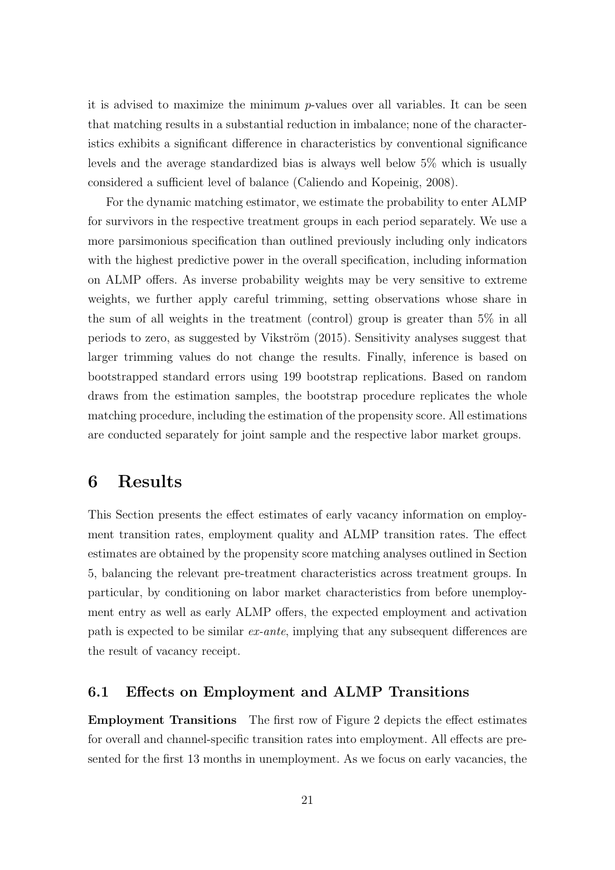it is advised to maximize the minimum  $p$ -values over all variables. It can be seen that matching results in a substantial reduction in imbalance; none of the characteristics exhibits a significant difference in characteristics by conventional significance levels and the average standardized bias is always well below 5% which is usually considered a sufficient level of balance (Caliendo and Kopeinig, 2008).

For the dynamic matching estimator, we estimate the probability to enter ALMP for survivors in the respective treatment groups in each period separately. We use a more parsimonious specification than outlined previously including only indicators with the highest predictive power in the overall specification, including information on ALMP offers. As inverse probability weights may be very sensitive to extreme weights, we further apply careful trimming, setting observations whose share in the sum of all weights in the treatment (control) group is greater than 5% in all periods to zero, as suggested by Vikström  $(2015)$ . Sensitivity analyses suggest that larger trimming values do not change the results. Finally, inference is based on bootstrapped standard errors using 199 bootstrap replications. Based on random draws from the estimation samples, the bootstrap procedure replicates the whole matching procedure, including the estimation of the propensity score. All estimations are conducted separately for joint sample and the respective labor market groups.

### 6 Results

This Section presents the effect estimates of early vacancy information on employment transition rates, employment quality and ALMP transition rates. The effect estimates are obtained by the propensity score matching analyses outlined in Section 5, balancing the relevant pre-treatment characteristics across treatment groups. In particular, by conditioning on labor market characteristics from before unemployment entry as well as early ALMP offers, the expected employment and activation path is expected to be similar ex-ante, implying that any subsequent differences are the result of vacancy receipt.

#### 6.1 Effects on Employment and ALMP Transitions

Employment Transitions The first row of Figure 2 depicts the effect estimates for overall and channel-specific transition rates into employment. All effects are presented for the first 13 months in unemployment. As we focus on early vacancies, the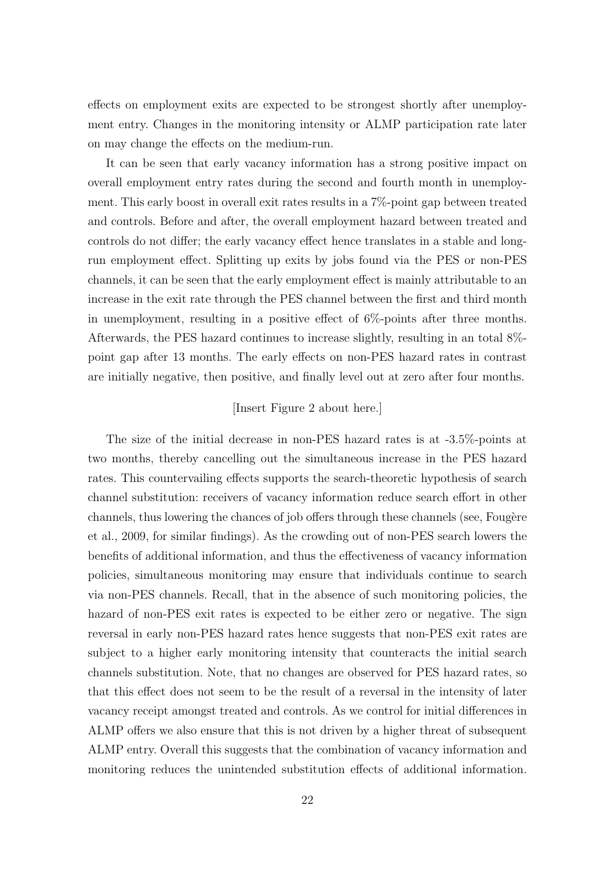effects on employment exits are expected to be strongest shortly after unemployment entry. Changes in the monitoring intensity or ALMP participation rate later on may change the effects on the medium-run.

It can be seen that early vacancy information has a strong positive impact on overall employment entry rates during the second and fourth month in unemployment. This early boost in overall exit rates results in a 7%-point gap between treated and controls. Before and after, the overall employment hazard between treated and controls do not differ; the early vacancy effect hence translates in a stable and longrun employment effect. Splitting up exits by jobs found via the PES or non-PES channels, it can be seen that the early employment effect is mainly attributable to an increase in the exit rate through the PES channel between the first and third month in unemployment, resulting in a positive effect of 6%-points after three months. Afterwards, the PES hazard continues to increase slightly, resulting in an total 8% point gap after 13 months. The early effects on non-PES hazard rates in contrast are initially negative, then positive, and finally level out at zero after four months.

#### [Insert Figure 2 about here.]

The size of the initial decrease in non-PES hazard rates is at -3.5%-points at two months, thereby cancelling out the simultaneous increase in the PES hazard rates. This countervailing effects supports the search-theoretic hypothesis of search channel substitution: receivers of vacancy information reduce search effort in other channels, thus lowering the chances of job offers through these channels (see, Fougère et al., 2009, for similar findings). As the crowding out of non-PES search lowers the benefits of additional information, and thus the effectiveness of vacancy information policies, simultaneous monitoring may ensure that individuals continue to search via non-PES channels. Recall, that in the absence of such monitoring policies, the hazard of non-PES exit rates is expected to be either zero or negative. The sign reversal in early non-PES hazard rates hence suggests that non-PES exit rates are subject to a higher early monitoring intensity that counteracts the initial search channels substitution. Note, that no changes are observed for PES hazard rates, so that this effect does not seem to be the result of a reversal in the intensity of later vacancy receipt amongst treated and controls. As we control for initial differences in ALMP offers we also ensure that this is not driven by a higher threat of subsequent ALMP entry. Overall this suggests that the combination of vacancy information and monitoring reduces the unintended substitution effects of additional information.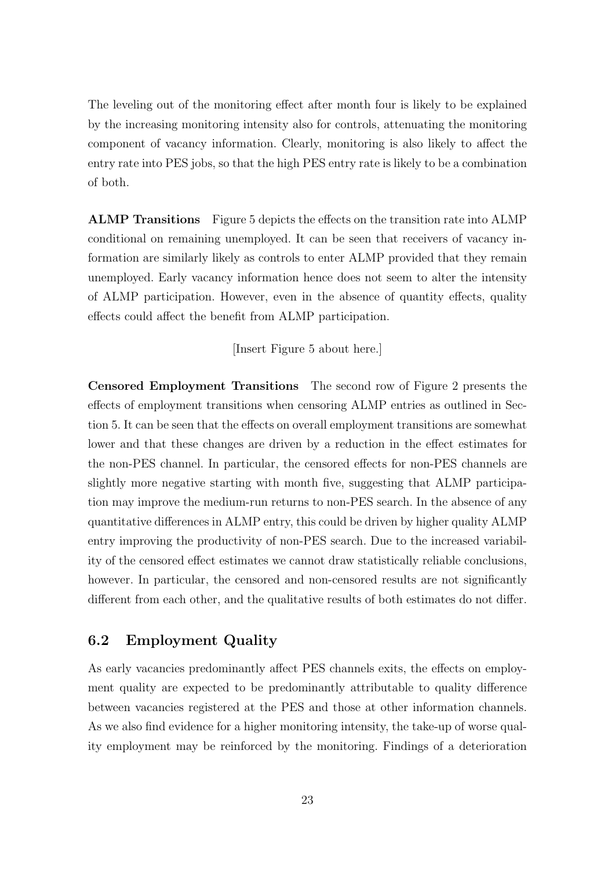The leveling out of the monitoring effect after month four is likely to be explained by the increasing monitoring intensity also for controls, attenuating the monitoring component of vacancy information. Clearly, monitoring is also likely to affect the entry rate into PES jobs, so that the high PES entry rate is likely to be a combination of both.

ALMP Transitions Figure 5 depicts the effects on the transition rate into ALMP conditional on remaining unemployed. It can be seen that receivers of vacancy information are similarly likely as controls to enter ALMP provided that they remain unemployed. Early vacancy information hence does not seem to alter the intensity of ALMP participation. However, even in the absence of quantity effects, quality effects could affect the benefit from ALMP participation.

[Insert Figure 5 about here.]

Censored Employment Transitions The second row of Figure 2 presents the effects of employment transitions when censoring ALMP entries as outlined in Section 5. It can be seen that the effects on overall employment transitions are somewhat lower and that these changes are driven by a reduction in the effect estimates for the non-PES channel. In particular, the censored effects for non-PES channels are slightly more negative starting with month five, suggesting that ALMP participation may improve the medium-run returns to non-PES search. In the absence of any quantitative differences in ALMP entry, this could be driven by higher quality ALMP entry improving the productivity of non-PES search. Due to the increased variability of the censored effect estimates we cannot draw statistically reliable conclusions, however. In particular, the censored and non-censored results are not significantly different from each other, and the qualitative results of both estimates do not differ.

#### 6.2 Employment Quality

As early vacancies predominantly affect PES channels exits, the effects on employment quality are expected to be predominantly attributable to quality difference between vacancies registered at the PES and those at other information channels. As we also find evidence for a higher monitoring intensity, the take-up of worse quality employment may be reinforced by the monitoring. Findings of a deterioration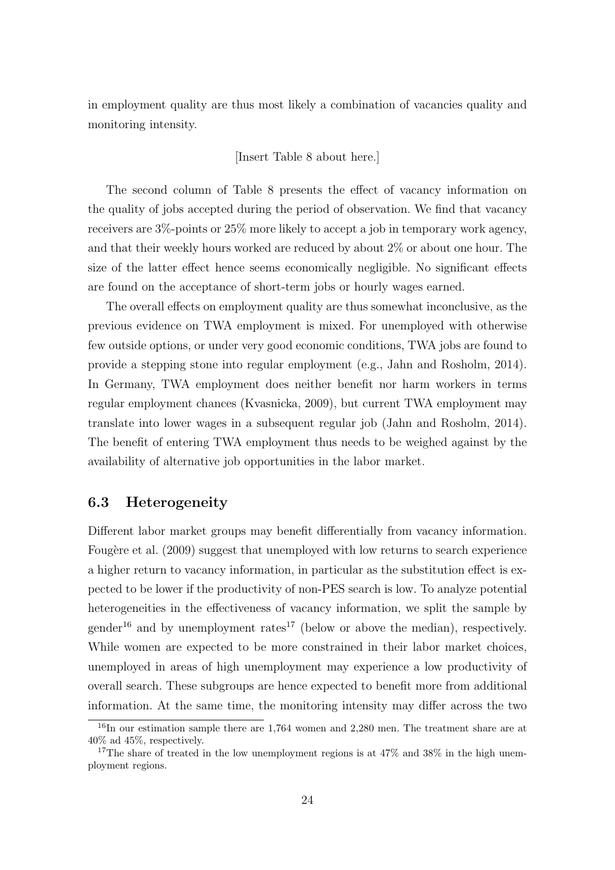in employment quality are thus most likely a combination of vacancies quality and monitoring intensity.

[Insert Table 8 about here.]

The second column of Table 8 presents the effect of vacancy information on the quality of jobs accepted during the period of observation. We find that vacancy receivers are 3%-points or 25% more likely to accept a job in temporary work agency, and that their weekly hours worked are reduced by about 2% or about one hour. The size of the latter effect hence seems economically negligible. No significant effects are found on the acceptance of short-term jobs or hourly wages earned.

The overall effects on employment quality are thus somewhat inconclusive, as the previous evidence on TWA employment is mixed. For unemployed with otherwise few outside options, or under very good economic conditions, TWA jobs are found to provide a stepping stone into regular employment (e.g., Jahn and Rosholm, 2014). In Germany, TWA employment does neither benefit nor harm workers in terms regular employment chances (Kvasnicka, 2009), but current TWA employment may translate into lower wages in a subsequent regular job (Jahn and Rosholm, 2014). The benefit of entering TWA employment thus needs to be weighed against by the availability of alternative job opportunities in the labor market.

#### 6.3 Heterogeneity

Different labor market groups may benefit differentially from vacancy information. Fougère et al. (2009) suggest that unemployed with low returns to search experience a higher return to vacancy information, in particular as the substitution effect is expected to be lower if the productivity of non-PES search is low. To analyze potential heterogeneities in the effectiveness of vacancy information, we split the sample by gender<sup>16</sup> and by unemployment rates<sup>17</sup> (below or above the median), respectively. While women are expected to be more constrained in their labor market choices, unemployed in areas of high unemployment may experience a low productivity of overall search. These subgroups are hence expected to benefit more from additional information. At the same time, the monitoring intensity may differ across the two

<sup>16</sup>In our estimation sample there are 1,764 women and 2,280 men. The treatment share are at 40% ad 45%, respectively.

<sup>&</sup>lt;sup>17</sup>The share of treated in the low unemployment regions is at  $47\%$  and  $38\%$  in the high unemployment regions.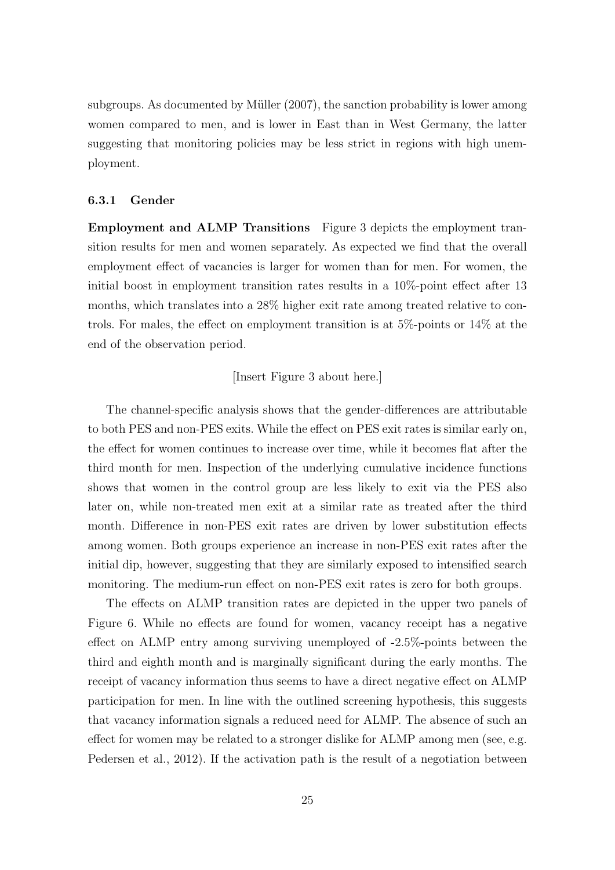subgroups. As documented by Müller  $(2007)$ , the sanction probability is lower among women compared to men, and is lower in East than in West Germany, the latter suggesting that monitoring policies may be less strict in regions with high unemployment.

#### 6.3.1 Gender

Employment and ALMP Transitions Figure 3 depicts the employment transition results for men and women separately. As expected we find that the overall employment effect of vacancies is larger for women than for men. For women, the initial boost in employment transition rates results in a 10%-point effect after 13 months, which translates into a 28% higher exit rate among treated relative to controls. For males, the effect on employment transition is at 5%-points or 14% at the end of the observation period.

#### [Insert Figure 3 about here.]

The channel-specific analysis shows that the gender-differences are attributable to both PES and non-PES exits. While the effect on PES exit rates is similar early on, the effect for women continues to increase over time, while it becomes flat after the third month for men. Inspection of the underlying cumulative incidence functions shows that women in the control group are less likely to exit via the PES also later on, while non-treated men exit at a similar rate as treated after the third month. Difference in non-PES exit rates are driven by lower substitution effects among women. Both groups experience an increase in non-PES exit rates after the initial dip, however, suggesting that they are similarly exposed to intensified search monitoring. The medium-run effect on non-PES exit rates is zero for both groups.

The effects on ALMP transition rates are depicted in the upper two panels of Figure 6. While no effects are found for women, vacancy receipt has a negative effect on ALMP entry among surviving unemployed of -2.5%-points between the third and eighth month and is marginally significant during the early months. The receipt of vacancy information thus seems to have a direct negative effect on ALMP participation for men. In line with the outlined screening hypothesis, this suggests that vacancy information signals a reduced need for ALMP. The absence of such an effect for women may be related to a stronger dislike for ALMP among men (see, e.g. Pedersen et al., 2012). If the activation path is the result of a negotiation between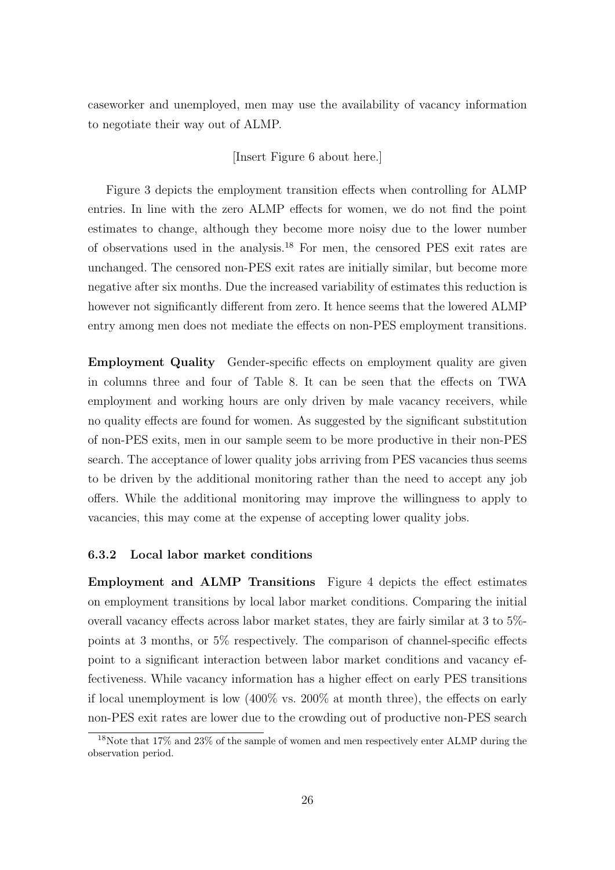caseworker and unemployed, men may use the availability of vacancy information to negotiate their way out of ALMP.

#### [Insert Figure 6 about here.]

Figure 3 depicts the employment transition effects when controlling for ALMP entries. In line with the zero ALMP effects for women, we do not find the point estimates to change, although they become more noisy due to the lower number of observations used in the analysis.<sup>18</sup> For men, the censored PES exit rates are unchanged. The censored non-PES exit rates are initially similar, but become more negative after six months. Due the increased variability of estimates this reduction is however not significantly different from zero. It hence seems that the lowered ALMP entry among men does not mediate the effects on non-PES employment transitions.

**Employment Quality** Gender-specific effects on employment quality are given in columns three and four of Table 8. It can be seen that the effects on TWA employment and working hours are only driven by male vacancy receivers, while no quality effects are found for women. As suggested by the significant substitution of non-PES exits, men in our sample seem to be more productive in their non-PES search. The acceptance of lower quality jobs arriving from PES vacancies thus seems to be driven by the additional monitoring rather than the need to accept any job offers. While the additional monitoring may improve the willingness to apply to vacancies, this may come at the expense of accepting lower quality jobs.

#### 6.3.2 Local labor market conditions

Employment and ALMP Transitions Figure 4 depicts the effect estimates on employment transitions by local labor market conditions. Comparing the initial overall vacancy effects across labor market states, they are fairly similar at 3 to 5% points at 3 months, or 5% respectively. The comparison of channel-specific effects point to a significant interaction between labor market conditions and vacancy effectiveness. While vacancy information has a higher effect on early PES transitions if local unemployment is low (400% vs. 200% at month three), the effects on early non-PES exit rates are lower due to the crowding out of productive non-PES search

<sup>18</sup>Note that 17% and 23% of the sample of women and men respectively enter ALMP during the observation period.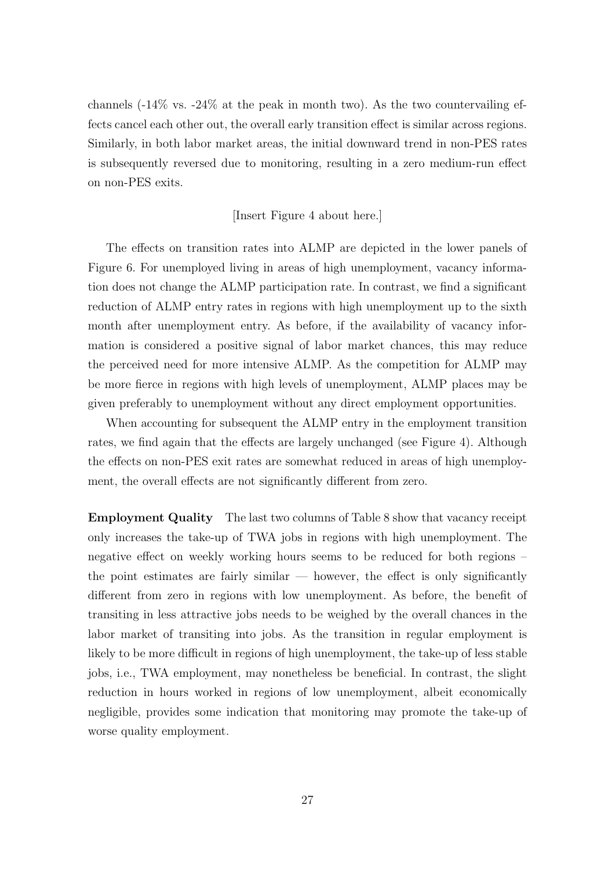channels (-14% vs. -24% at the peak in month two). As the two countervailing effects cancel each other out, the overall early transition effect is similar across regions. Similarly, in both labor market areas, the initial downward trend in non-PES rates is subsequently reversed due to monitoring, resulting in a zero medium-run effect on non-PES exits.

[Insert Figure 4 about here.]

The effects on transition rates into ALMP are depicted in the lower panels of Figure 6. For unemployed living in areas of high unemployment, vacancy information does not change the ALMP participation rate. In contrast, we find a significant reduction of ALMP entry rates in regions with high unemployment up to the sixth month after unemployment entry. As before, if the availability of vacancy information is considered a positive signal of labor market chances, this may reduce the perceived need for more intensive ALMP. As the competition for ALMP may be more fierce in regions with high levels of unemployment, ALMP places may be given preferably to unemployment without any direct employment opportunities.

When accounting for subsequent the ALMP entry in the employment transition rates, we find again that the effects are largely unchanged (see Figure 4). Although the effects on non-PES exit rates are somewhat reduced in areas of high unemployment, the overall effects are not significantly different from zero.

**Employment Quality** The last two columns of Table 8 show that vacancy receipt only increases the take-up of TWA jobs in regions with high unemployment. The negative effect on weekly working hours seems to be reduced for both regions – the point estimates are fairly similar  $-$  however, the effect is only significantly different from zero in regions with low unemployment. As before, the benefit of transiting in less attractive jobs needs to be weighed by the overall chances in the labor market of transiting into jobs. As the transition in regular employment is likely to be more difficult in regions of high unemployment, the take-up of less stable jobs, i.e., TWA employment, may nonetheless be beneficial. In contrast, the slight reduction in hours worked in regions of low unemployment, albeit economically negligible, provides some indication that monitoring may promote the take-up of worse quality employment.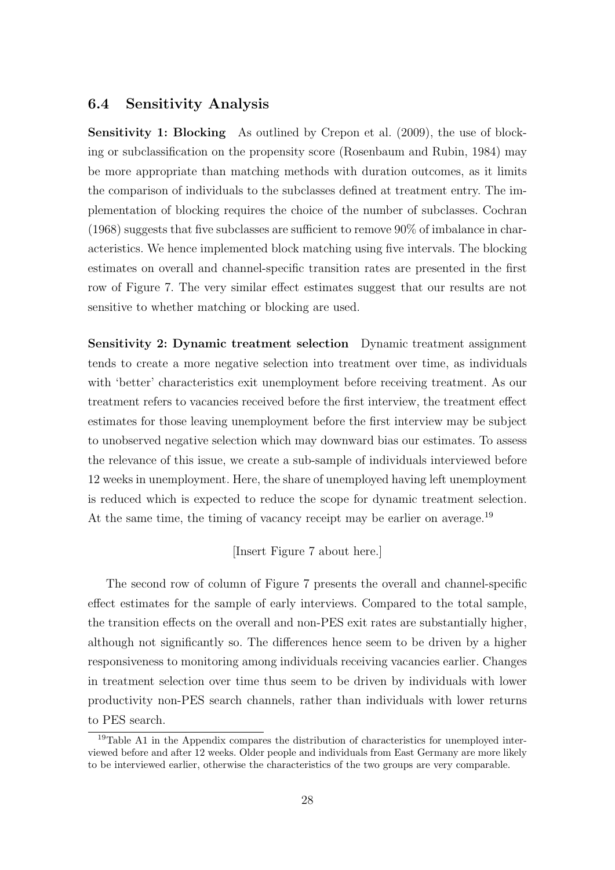#### 6.4 Sensitivity Analysis

Sensitivity 1: Blocking As outlined by Crepon et al. (2009), the use of blocking or subclassification on the propensity score (Rosenbaum and Rubin, 1984) may be more appropriate than matching methods with duration outcomes, as it limits the comparison of individuals to the subclasses defined at treatment entry. The implementation of blocking requires the choice of the number of subclasses. Cochran  $(1968)$  suggests that five subclasses are sufficient to remove  $90\%$  of imbalance in characteristics. We hence implemented block matching using five intervals. The blocking estimates on overall and channel-specific transition rates are presented in the first row of Figure 7. The very similar effect estimates suggest that our results are not sensitive to whether matching or blocking are used.

Sensitivity 2: Dynamic treatment selection Dynamic treatment assignment tends to create a more negative selection into treatment over time, as individuals with 'better' characteristics exit unemployment before receiving treatment. As our treatment refers to vacancies received before the first interview, the treatment effect estimates for those leaving unemployment before the first interview may be subject to unobserved negative selection which may downward bias our estimates. To assess the relevance of this issue, we create a sub-sample of individuals interviewed before 12 weeks in unemployment. Here, the share of unemployed having left unemployment is reduced which is expected to reduce the scope for dynamic treatment selection. At the same time, the timing of vacancy receipt may be earlier on average.<sup>19</sup>

[Insert Figure 7 about here.]

The second row of column of Figure 7 presents the overall and channel-specific effect estimates for the sample of early interviews. Compared to the total sample, the transition effects on the overall and non-PES exit rates are substantially higher, although not significantly so. The differences hence seem to be driven by a higher responsiveness to monitoring among individuals receiving vacancies earlier. Changes in treatment selection over time thus seem to be driven by individuals with lower productivity non-PES search channels, rather than individuals with lower returns to PES search.

 $19$ Table A1 in the Appendix compares the distribution of characteristics for unemployed interviewed before and after 12 weeks. Older people and individuals from East Germany are more likely to be interviewed earlier, otherwise the characteristics of the two groups are very comparable.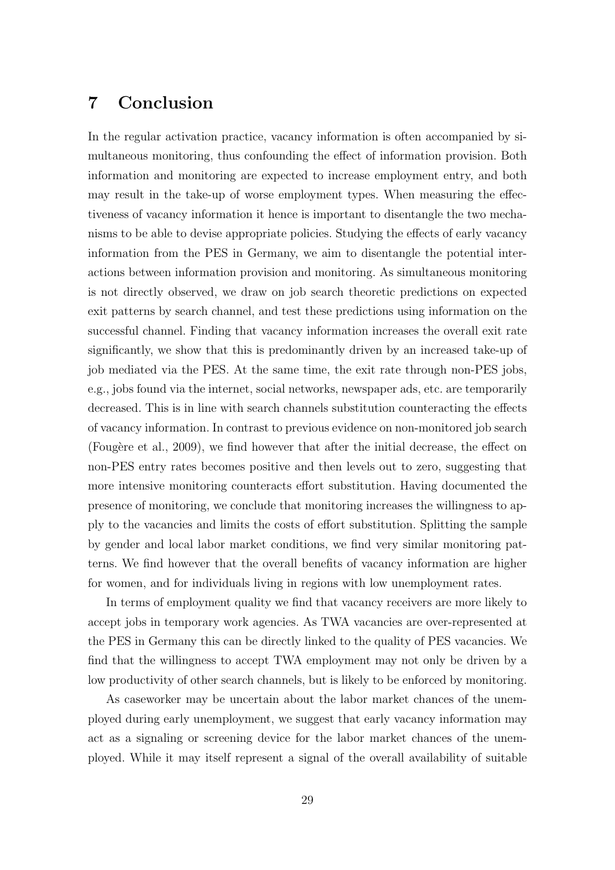### 7 Conclusion

In the regular activation practice, vacancy information is often accompanied by simultaneous monitoring, thus confounding the effect of information provision. Both information and monitoring are expected to increase employment entry, and both may result in the take-up of worse employment types. When measuring the effectiveness of vacancy information it hence is important to disentangle the two mechanisms to be able to devise appropriate policies. Studying the effects of early vacancy information from the PES in Germany, we aim to disentangle the potential interactions between information provision and monitoring. As simultaneous monitoring is not directly observed, we draw on job search theoretic predictions on expected exit patterns by search channel, and test these predictions using information on the successful channel. Finding that vacancy information increases the overall exit rate significantly, we show that this is predominantly driven by an increased take-up of job mediated via the PES. At the same time, the exit rate through non-PES jobs, e.g., jobs found via the internet, social networks, newspaper ads, etc. are temporarily decreased. This is in line with search channels substitution counteracting the effects of vacancy information. In contrast to previous evidence on non-monitored job search (Fougère et al., 2009), we find however that after the initial decrease, the effect on non-PES entry rates becomes positive and then levels out to zero, suggesting that more intensive monitoring counteracts effort substitution. Having documented the presence of monitoring, we conclude that monitoring increases the willingness to apply to the vacancies and limits the costs of effort substitution. Splitting the sample by gender and local labor market conditions, we find very similar monitoring patterns. We find however that the overall benefits of vacancy information are higher for women, and for individuals living in regions with low unemployment rates.

In terms of employment quality we find that vacancy receivers are more likely to accept jobs in temporary work agencies. As TWA vacancies are over-represented at the PES in Germany this can be directly linked to the quality of PES vacancies. We find that the willingness to accept TWA employment may not only be driven by a low productivity of other search channels, but is likely to be enforced by monitoring.

As caseworker may be uncertain about the labor market chances of the unemployed during early unemployment, we suggest that early vacancy information may act as a signaling or screening device for the labor market chances of the unemployed. While it may itself represent a signal of the overall availability of suitable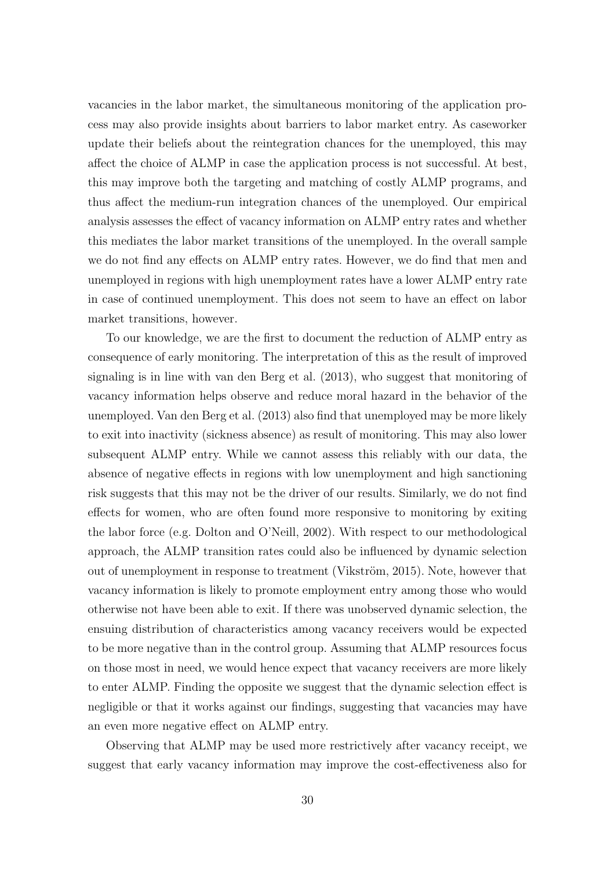vacancies in the labor market, the simultaneous monitoring of the application process may also provide insights about barriers to labor market entry. As caseworker update their beliefs about the reintegration chances for the unemployed, this may affect the choice of ALMP in case the application process is not successful. At best, this may improve both the targeting and matching of costly ALMP programs, and thus affect the medium-run integration chances of the unemployed. Our empirical analysis assesses the effect of vacancy information on ALMP entry rates and whether this mediates the labor market transitions of the unemployed. In the overall sample we do not find any effects on ALMP entry rates. However, we do find that men and unemployed in regions with high unemployment rates have a lower ALMP entry rate in case of continued unemployment. This does not seem to have an effect on labor market transitions, however.

To our knowledge, we are the first to document the reduction of ALMP entry as consequence of early monitoring. The interpretation of this as the result of improved signaling is in line with van den Berg et al. (2013), who suggest that monitoring of vacancy information helps observe and reduce moral hazard in the behavior of the unemployed. Van den Berg et al. (2013) also find that unemployed may be more likely to exit into inactivity (sickness absence) as result of monitoring. This may also lower subsequent ALMP entry. While we cannot assess this reliably with our data, the absence of negative effects in regions with low unemployment and high sanctioning risk suggests that this may not be the driver of our results. Similarly, we do not find effects for women, who are often found more responsive to monitoring by exiting the labor force (e.g. Dolton and O'Neill, 2002). With respect to our methodological approach, the ALMP transition rates could also be influenced by dynamic selection out of unemployment in response to treatment (Vikström, 2015). Note, however that vacancy information is likely to promote employment entry among those who would otherwise not have been able to exit. If there was unobserved dynamic selection, the ensuing distribution of characteristics among vacancy receivers would be expected to be more negative than in the control group. Assuming that ALMP resources focus on those most in need, we would hence expect that vacancy receivers are more likely to enter ALMP. Finding the opposite we suggest that the dynamic selection effect is negligible or that it works against our findings, suggesting that vacancies may have an even more negative effect on ALMP entry.

Observing that ALMP may be used more restrictively after vacancy receipt, we suggest that early vacancy information may improve the cost-effectiveness also for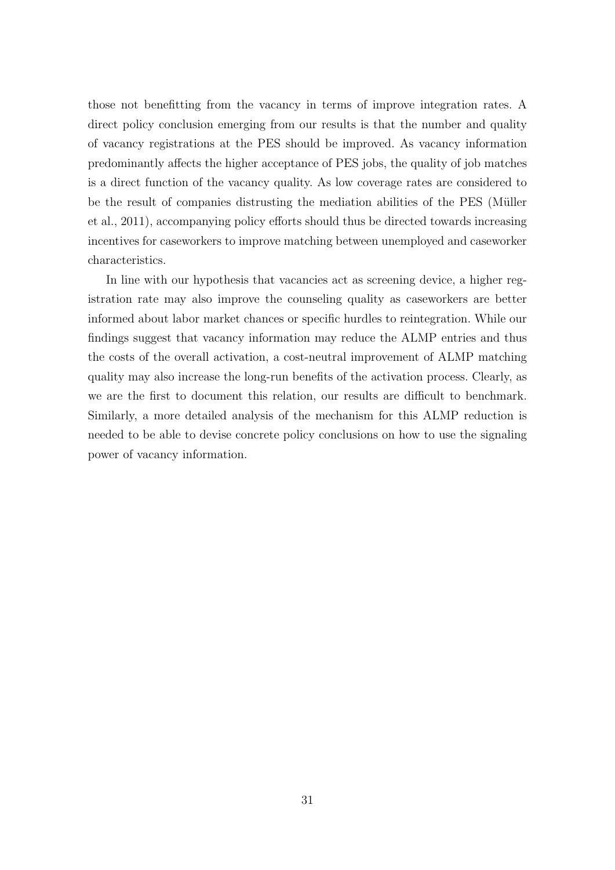those not benefitting from the vacancy in terms of improve integration rates. A direct policy conclusion emerging from our results is that the number and quality of vacancy registrations at the PES should be improved. As vacancy information predominantly affects the higher acceptance of PES jobs, the quality of job matches is a direct function of the vacancy quality. As low coverage rates are considered to be the result of companies distrusting the mediation abilities of the PES (Müller et al., 2011), accompanying policy efforts should thus be directed towards increasing incentives for caseworkers to improve matching between unemployed and caseworker characteristics.

In line with our hypothesis that vacancies act as screening device, a higher registration rate may also improve the counseling quality as caseworkers are better informed about labor market chances or specific hurdles to reintegration. While our findings suggest that vacancy information may reduce the ALMP entries and thus the costs of the overall activation, a cost-neutral improvement of ALMP matching quality may also increase the long-run benefits of the activation process. Clearly, as we are the first to document this relation, our results are difficult to benchmark. Similarly, a more detailed analysis of the mechanism for this ALMP reduction is needed to be able to devise concrete policy conclusions on how to use the signaling power of vacancy information.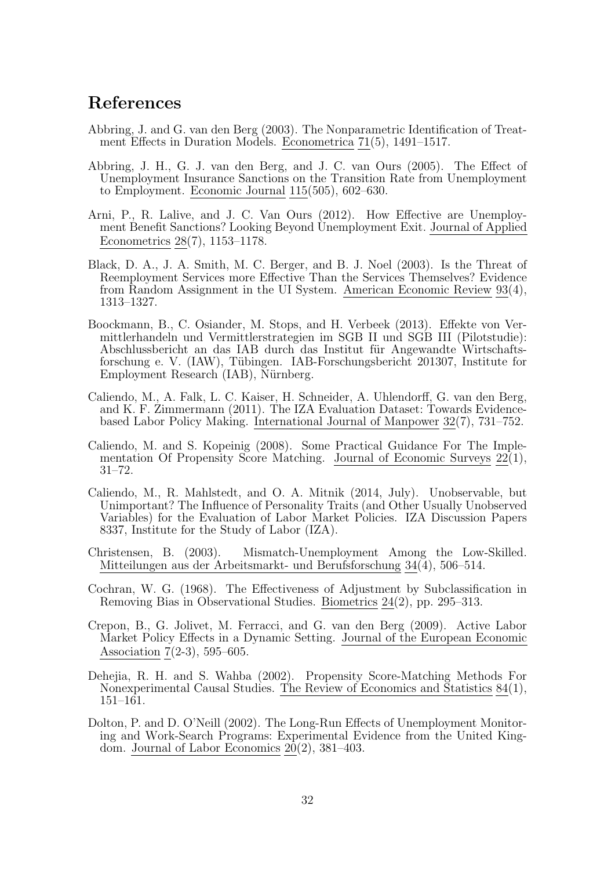### References

- Abbring, J. and G. van den Berg (2003). The Nonparametric Identification of Treatment Effects in Duration Models. Econometrica 71(5), 1491–1517.
- Abbring, J. H., G. J. van den Berg, and J. C. van Ours (2005). The Effect of Unemployment Insurance Sanctions on the Transition Rate from Unemployment to Employment. Economic Journal 115(505), 602–630.
- Arni, P., R. Lalive, and J. C. Van Ours (2012). How Effective are Unemployment Benefit Sanctions? Looking Beyond Unemployment Exit. Journal of Applied Econometrics 28(7), 1153–1178.
- Black, D. A., J. A. Smith, M. C. Berger, and B. J. Noel (2003). Is the Threat of Reemployment Services more Effective Than the Services Themselves? Evidence from Random Assignment in the UI System. American Economic Review 93(4), 1313–1327.
- Boockmann, B., C. Osiander, M. Stops, and H. Verbeek (2013). Effekte von Vermittlerhandeln und Vermittlerstrategien im SGB II und SGB III (Pilotstudie): Abschlussbericht an das IAB durch das Institut für Angewandte Wirtschaftsforschung e. V. (IAW), Tübingen. IAB-Forschungsbericht 201307, Institute for Employment Research (IAB), Nürnberg.
- Caliendo, M., A. Falk, L. C. Kaiser, H. Schneider, A. Uhlendorff, G. van den Berg, and K. F. Zimmermann (2011). The IZA Evaluation Dataset: Towards Evidencebased Labor Policy Making. International Journal of Manpower 32(7), 731–752.
- Caliendo, M. and S. Kopeinig (2008). Some Practical Guidance For The Implementation Of Propensity Score Matching. Journal of Economic Surveys 22(1), 31–72.
- Caliendo, M., R. Mahlstedt, and O. A. Mitnik (2014, July). Unobservable, but Unimportant? The Influence of Personality Traits (and Other Usually Unobserved Variables) for the Evaluation of Labor Market Policies. IZA Discussion Papers 8337, Institute for the Study of Labor (IZA).
- Christensen, B. (2003). Mismatch-Unemployment Among the Low-Skilled. Mitteilungen aus der Arbeitsmarkt- und Berufsforschung 34(4), 506–514.
- Cochran, W. G. (1968). The Effectiveness of Adjustment by Subclassification in Removing Bias in Observational Studies. Biometrics 24(2), pp. 295–313.
- Crepon, B., G. Jolivet, M. Ferracci, and G. van den Berg (2009). Active Labor Market Policy Effects in a Dynamic Setting. Journal of the European Economic Association 7(2-3), 595–605.
- Dehejia, R. H. and S. Wahba (2002). Propensity Score-Matching Methods For Nonexperimental Causal Studies. The Review of Economics and Statistics 84(1), 151–161.
- Dolton, P. and D. O'Neill (2002). The Long-Run Effects of Unemployment Monitoring and Work-Search Programs: Experimental Evidence from the United Kingdom. Journal of Labor Economics 20(2), 381–403.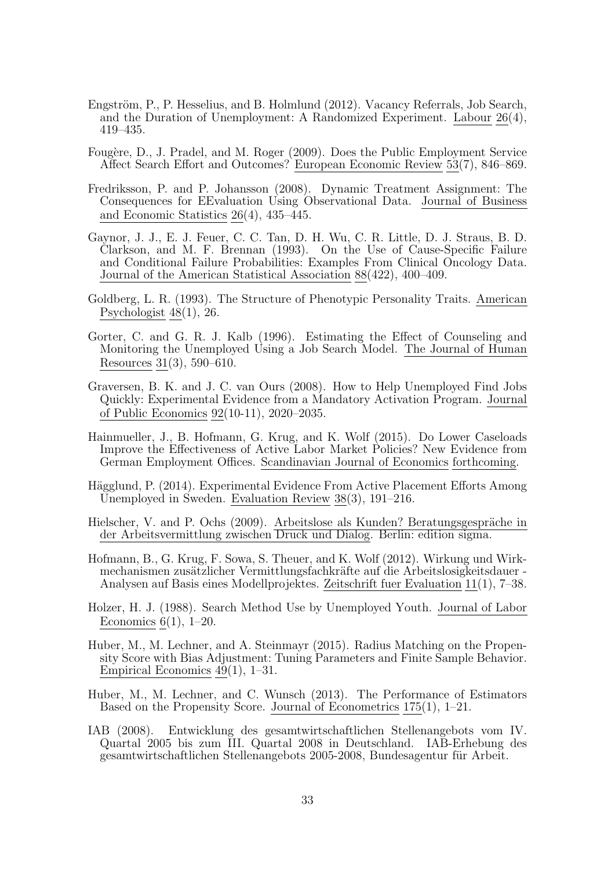- Engström, P., P. Hesselius, and B. Holmlund (2012). Vacancy Referrals, Job Search, and the Duration of Unemployment: A Randomized Experiment. Labour 26(4), 419–435.
- Fougère, D., J. Pradel, and M. Roger (2009). Does the Public Employment Service Affect Search Effort and Outcomes? European Economic Review 53(7), 846–869.
- Fredriksson, P. and P. Johansson (2008). Dynamic Treatment Assignment: The Consequences for EEvaluation Using Observational Data. Journal of Business and Economic Statistics 26(4), 435–445.
- Gaynor, J. J., E. J. Feuer, C. C. Tan, D. H. Wu, C. R. Little, D. J. Straus, B. D. Clarkson, and M. F. Brennan (1993). On the Use of Cause-Specific Failure and Conditional Failure Probabilities: Examples From Clinical Oncology Data. Journal of the American Statistical Association 88(422), 400–409.
- Goldberg, L. R. (1993). The Structure of Phenotypic Personality Traits. American Psychologist 48(1), 26.
- Gorter, C. and G. R. J. Kalb (1996). Estimating the Effect of Counseling and Monitoring the Unemployed Using a Job Search Model. The Journal of Human Resources 31(3), 590–610.
- Graversen, B. K. and J. C. van Ours (2008). How to Help Unemployed Find Jobs Quickly: Experimental Evidence from a Mandatory Activation Program. Journal of Public Economics 92(10-11), 2020–2035.
- Hainmueller, J., B. Hofmann, G. Krug, and K. Wolf (2015). Do Lower Caseloads Improve the Effectiveness of Active Labor Market Policies? New Evidence from German Employment Offices. Scandinavian Journal of Economics forthcoming.
- Hägglund, P. (2014). Experimental Evidence From Active Placement Efforts Among Unemployed in Sweden. Evaluation Review 38(3), 191–216.
- Hielscher, V. and P. Ochs (2009). Arbeitslose als Kunden? Beratungsgespräche in der Arbeitsvermittlung zwischen Druck und Dialog. Berlin: edition sigma.
- Hofmann, B., G. Krug, F. Sowa, S. Theuer, and K. Wolf (2012). Wirkung und Wirkmechanismen zusätzlicher Vermittlungsfachkräfte auf die Arbeitslosigkeitsdauer -Analysen auf Basis eines Modellprojektes. Zeitschrift fuer Evaluation 11(1), 7–38.
- Holzer, H. J. (1988). Search Method Use by Unemployed Youth. Journal of Labor Economics 6(1), 1–20.
- Huber, M., M. Lechner, and A. Steinmayr (2015). Radius Matching on the Propensity Score with Bias Adjustment: Tuning Parameters and Finite Sample Behavior. Empirical Economics 49(1), 1–31.
- Huber, M., M. Lechner, and C. Wunsch (2013). The Performance of Estimators Based on the Propensity Score. Journal of Econometrics 175(1), 1–21.
- IAB (2008). Entwicklung des gesamtwirtschaftlichen Stellenangebots vom IV. Quartal 2005 bis zum III. Quartal 2008 in Deutschland. IAB-Erhebung des gesamtwirtschaftlichen Stellenangebots 2005-2008, Bundesagentur für Arbeit.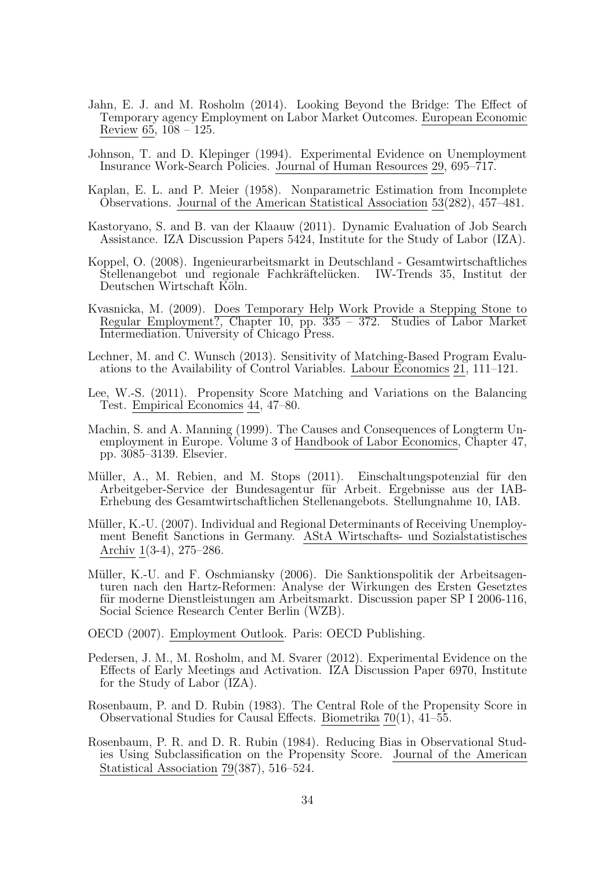- Jahn, E. J. and M. Rosholm (2014). Looking Beyond the Bridge: The Effect of Temporary agency Employment on Labor Market Outcomes. European Economic Review 65, 108 – 125.
- Johnson, T. and D. Klepinger (1994). Experimental Evidence on Unemployment Insurance Work-Search Policies. Journal of Human Resources 29, 695–717.
- Kaplan, E. L. and P. Meier (1958). Nonparametric Estimation from Incomplete Observations. Journal of the American Statistical Association 53(282), 457–481.
- Kastoryano, S. and B. van der Klaauw (2011). Dynamic Evaluation of Job Search Assistance. IZA Discussion Papers 5424, Institute for the Study of Labor (IZA).
- Koppel, O. (2008). Ingenieurarbeitsmarkt in Deutschland Gesamtwirtschaftliches Stellenangebot und regionale Fachkräftelücken. IW-Trends 35, Institut der Deutschen Wirtschaft Köln.
- Kvasnicka, M. (2009). Does Temporary Help Work Provide a Stepping Stone to Regular Employment?, Chapter 10, pp. 335 – 372. Studies of Labor Market Intermediation. University of Chicago Press.
- Lechner, M. and C. Wunsch (2013). Sensitivity of Matching-Based Program Evaluations to the Availability of Control Variables. Labour Economics 21, 111–121.
- Lee, W.-S. (2011). Propensity Score Matching and Variations on the Balancing Test. Empirical Economics 44, 47–80.
- Machin, S. and A. Manning (1999). The Causes and Consequences of Longterm Unemployment in Europe. Volume 3 of Handbook of Labor Economics, Chapter 47, pp. 3085–3139. Elsevier.
- Müller, A., M. Rebien, and M. Stops (2011). Einschaltungspotenzial für den Arbeitgeber-Service der Bundesagentur für Arbeit. Ergebnisse aus der IAB-Erhebung des Gesamtwirtschaftlichen Stellenangebots. Stellungnahme 10, IAB.
- Müller, K.-U. (2007). Individual and Regional Determinants of Receiving Unemployment Benefit Sanctions in Germany. AStA Wirtschafts- und Sozialstatistisches Archiv 1(3-4), 275–286.
- Müller, K.-U. and F. Oschmiansky (2006). Die Sanktionspolitik der Arbeitsagenturen nach den Hartz-Reformen: Analyse der Wirkungen des Ersten Gesetztes für moderne Dienstleistungen am Arbeitsmarkt. Discussion paper SP I 2006-116, Social Science Research Center Berlin (WZB).
- OECD (2007). Employment Outlook. Paris: OECD Publishing.
- Pedersen, J. M., M. Rosholm, and M. Svarer (2012). Experimental Evidence on the Effects of Early Meetings and Activation. IZA Discussion Paper 6970, Institute for the Study of Labor (IZA).
- Rosenbaum, P. and D. Rubin (1983). The Central Role of the Propensity Score in Observational Studies for Causal Effects. Biometrika 70(1), 41–55.
- Rosenbaum, P. R. and D. R. Rubin (1984). Reducing Bias in Observational Studies Using Subclassification on the Propensity Score. Journal of the American Statistical Association 79(387), 516–524.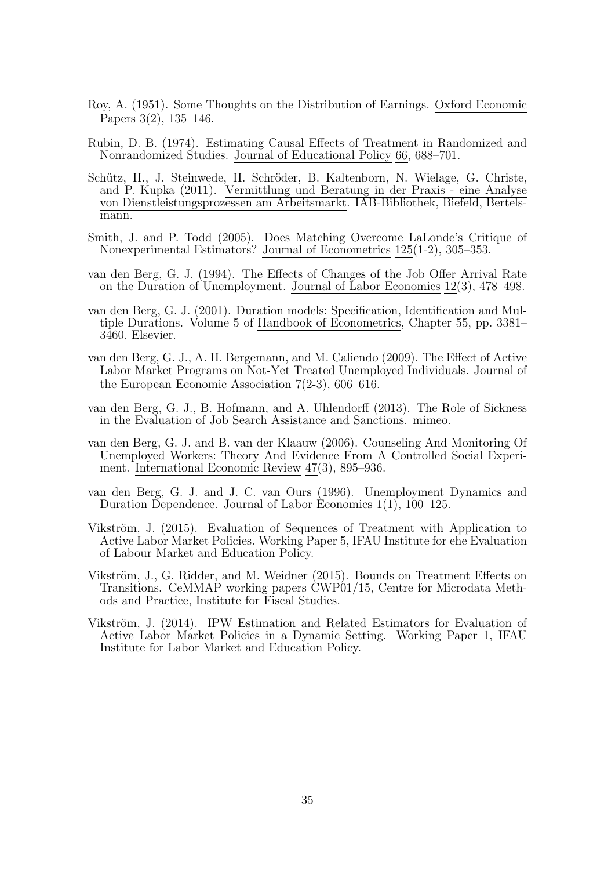- Roy, A. (1951). Some Thoughts on the Distribution of Earnings. Oxford Economic Papers 3(2), 135–146.
- Rubin, D. B. (1974). Estimating Causal Effects of Treatment in Randomized and Nonrandomized Studies. Journal of Educational Policy 66, 688–701.
- Schütz, H., J. Steinwede, H. Schröder, B. Kaltenborn, N. Wielage, G. Christe, and P. Kupka (2011). Vermittlung und Beratung in der Praxis - eine Analyse von Dienstleistungsprozessen am Arbeitsmarkt. IAB-Bibliothek, Biefeld, Bertelsmann.
- Smith, J. and P. Todd (2005). Does Matching Overcome LaLonde's Critique of Nonexperimental Estimators? Journal of Econometrics 125(1-2), 305–353.
- van den Berg, G. J. (1994). The Effects of Changes of the Job Offer Arrival Rate on the Duration of Unemployment. Journal of Labor Economics 12(3), 478–498.
- van den Berg, G. J. (2001). Duration models: Specification, Identification and Multiple Durations. Volume 5 of Handbook of Econometrics, Chapter 55, pp. 3381– 3460. Elsevier.
- van den Berg, G. J., A. H. Bergemann, and M. Caliendo (2009). The Effect of Active Labor Market Programs on Not-Yet Treated Unemployed Individuals. Journal of the European Economic Association 7(2-3), 606–616.
- van den Berg, G. J., B. Hofmann, and A. Uhlendorff (2013). The Role of Sickness in the Evaluation of Job Search Assistance and Sanctions. mimeo.
- van den Berg, G. J. and B. van der Klaauw (2006). Counseling And Monitoring Of Unemployed Workers: Theory And Evidence From A Controlled Social Experiment. International Economic Review 47(3), 895–936.
- van den Berg, G. J. and J. C. van Ours (1996). Unemployment Dynamics and Duration Dependence. Journal of Labor Economics 1(1), 100–125.
- Vikström, J. (2015). Evaluation of Sequences of Treatment with Application to Active Labor Market Policies. Working Paper 5, IFAU Institute for ehe Evaluation of Labour Market and Education Policy.
- Vikström, J., G. Ridder, and M. Weidner (2015). Bounds on Treatment Effects on Transitions. CeMMAP working papers CWP01/15, Centre for Microdata Methods and Practice, Institute for Fiscal Studies.
- Vikström, J. (2014). IPW Estimation and Related Estimators for Evaluation of Active Labor Market Policies in a Dynamic Setting. Working Paper 1, IFAU Institute for Labor Market and Education Policy.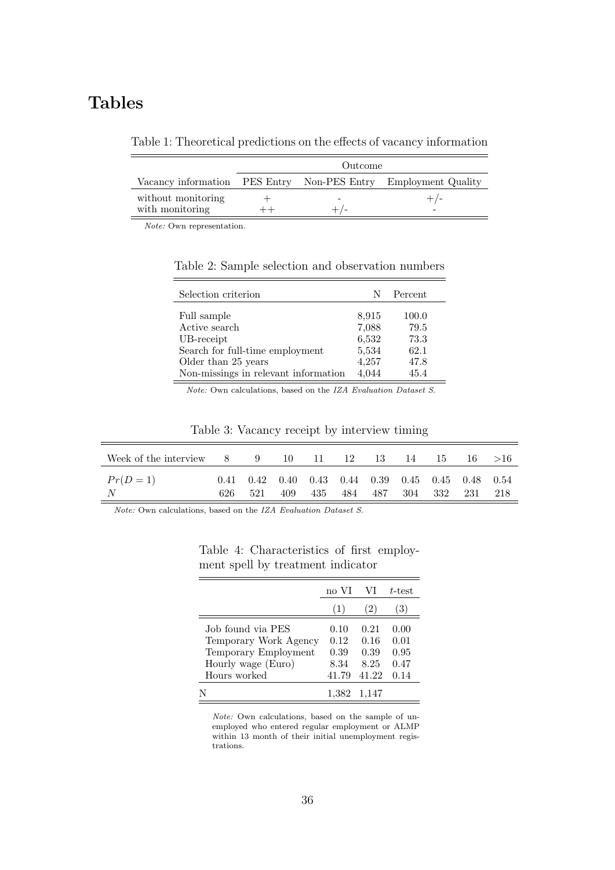# Tables

|                    | Outcome |  |                                                                |  |  |  |
|--------------------|---------|--|----------------------------------------------------------------|--|--|--|
|                    |         |  | Vacancy information PES Entry Non-PES Entry Employment Quality |  |  |  |
| without monitoring |         |  | $+$ / –                                                        |  |  |  |
| with monitoring    |         |  | $\overline{\phantom{a}}$                                       |  |  |  |

Table 1: Theoretical predictions on the effects of vacancy information

Note: Own representation.

 $\equiv$ 

Table 2: Sample selection and observation numbers

| N     | Percent |
|-------|---------|
|       | 100.0   |
| 7,088 | 79.5    |
| 6,532 | 73.3    |
| 5,534 | 62.1    |
| 4,257 | 47.8    |
| 4.044 | 45.4    |
|       | 8,915   |

Note: Own calculations, based on the IZA Evaluation Dataset S.

Table 3: Vacancy receipt by interview timing

| Week of the interview $8 \t 9 \t 10 \t 11 \t 12 \t 13 \t 14$ |      |     |     |  |  | 15 |                                                   | 16 > 16 |
|--------------------------------------------------------------|------|-----|-----|--|--|----|---------------------------------------------------|---------|
| $Pr(D=1)$                                                    |      |     |     |  |  |    | 0.41 0.42 0.40 0.43 0.44 0.39 0.45 0.45 0.48 0.54 |         |
| $\overline{N}$                                               | 626- | 521 | 409 |  |  |    | 435 484 487 304 332 231                           | 218     |

Note: Own calculations, based on the IZA Evaluation Dataset S.

Table 4: Characteristics of first employment spell by treatment indicator

|                       | no VI | VΙ    | t-test                |
|-----------------------|-------|-------|-----------------------|
|                       |       |       | $\mathbf{3}^{\prime}$ |
| Job found via PES     | 0.10  | 0.21  | 0.00                  |
| Temporary Work Agency | 0.12  | 0.16  | 0.01                  |
| Temporary Employment  | 0.39  | 0.39  | 0.95                  |
| Hourly wage (Euro)    | 8.34  | 8.25  | 0.47                  |
| Hours worked          | 41.79 | 41.22 | 0.14                  |
|                       | 1,382 | 1.147 |                       |

Note: Own calculations, based on the sample of unemployed who entered regular employment or ALMP within 13 month of their initial unemployment registrations.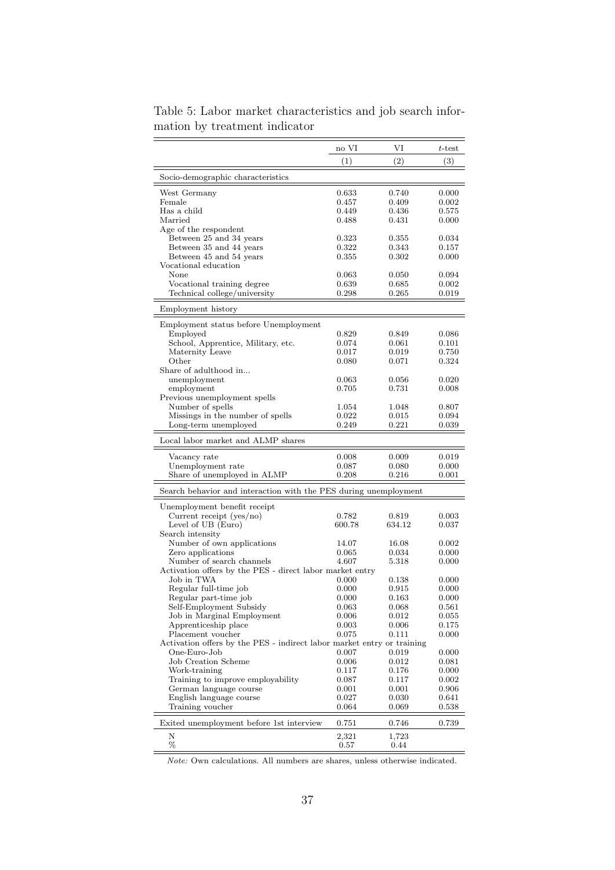|                                                                        | no VI  | VI         | $t$ -test      |
|------------------------------------------------------------------------|--------|------------|----------------|
|                                                                        | (1)    | (2)        | (3)            |
|                                                                        |        |            |                |
| Socio-demographic characteristics                                      |        |            |                |
| West Germany                                                           | 0.633  | 0.740      | 0.000          |
| Female                                                                 | 0.457  | 0.409      | 0.002          |
| Has a child                                                            | 0.449  | 0.436      | $_{0.575}$     |
| Married                                                                | 0.488  | 0.431      | 0.000          |
| Age of the respondent                                                  |        |            |                |
| Between 25 and 34 years                                                | 0.323  | $_{0.355}$ | 0.034          |
| Between 35 and 44 years                                                | 0.322  | 0.343      | $_{0.157}$     |
| Between 45 and 54 years                                                | 0.355  | 0.302      | 0.000          |
| Vocational education                                                   |        |            |                |
| None                                                                   | 0.063  | 0.050      | 0.094          |
| Vocational training degree                                             | 0.639  | 0.685      | 0.002          |
| Technical college/university                                           | 0.298  | 0.265      | 0.019          |
|                                                                        |        |            |                |
| Employment history                                                     |        |            |                |
| Employment status before Unemployment                                  |        |            |                |
| Employed                                                               | 0.829  | 0.849      | 0.086          |
| School, Apprentice, Military, etc.                                     | 0.074  | 0.061      | 0.101          |
| Maternity Leave                                                        | 0.017  | 0.019      | 0.750          |
| Other                                                                  | 0.080  | 0.071      | 0.324          |
| Share of adulthood in                                                  |        |            |                |
| unemployment                                                           | 0.063  | 0.056      | 0.020          |
| employment                                                             | 0.705  | 0.731      | 0.008          |
| Previous unemployment spells                                           |        |            |                |
| Number of spells                                                       | 1.054  | 1.048      | 0.807          |
| Missings in the number of spells                                       | 0.022  | 0.015      | 0.094          |
| Long-term unemployed                                                   | 0.249  | 0.221      | 0.039          |
| Local labor market and ALMP shares                                     |        |            |                |
| Vacancy rate                                                           | 0.008  | 0.009      | 0.019          |
| Unemployment rate                                                      | 0.087  | 0.080      | 0.000          |
| Share of unemployed in ALMP                                            | 0.208  | 0.216      | 0.001          |
|                                                                        |        |            |                |
| Search behavior and interaction with the PES during unemployment       |        |            |                |
| Unemployment benefit receipt                                           |        |            |                |
| Current receipt $(yes/no)$                                             | 0.782  | 0.819      | 0.003          |
| Level of UB (Euro)                                                     | 600.78 | 634.12     | $_{0.037}$     |
| Search intensity                                                       |        |            |                |
| Number of own applications                                             | 14.07  | 16.08      | 0.002          |
| Zero applications                                                      | 0.065  | 0.034      | 0.000          |
| Number of search channels                                              | 4.607  | 5.318      | 0.000          |
| Activation offers by the PES - direct labor market entry               |        |            |                |
| Job in TWA                                                             | 0.000  | 0.138      | 0.000          |
| Regular full-time job                                                  | 0.000  | 0.915      | 0.000          |
| Regular part-time job                                                  | 0.000  | 0.163      | 0.000          |
| Self-Employment Subsidy                                                | 0.063  | 0.068      | 0.561          |
| Job in Marginal Employment                                             | 0.006  | 0.012      | 0.055          |
| Apprenticeship place                                                   | 0.003  | 0.006      | 0.175          |
| Placement voucher                                                      | 0.075  | 0.111      | 0.000          |
| Activation offers by the PES - indirect labor market entry or training |        |            |                |
| One-Euro-Job                                                           | 0.007  | 0.019      | 0.000          |
| Job Creation Scheme                                                    | 0.006  | 0.012      | 0.081          |
| Work-training                                                          | 0.117  | 0.176      | 0.000          |
| Training to improve employability                                      | 0.087  | 0.117      | 0.002          |
| German language course                                                 | 0.001  | 0.001      | 0.906          |
| English language course                                                | 0.027  | 0.030      | 0.641<br>0.538 |
| Training voucher                                                       | 0.064  | 0.069      |                |
| Exited unemployment before 1st interview                               | 0.751  | 0.746      | 0.739          |
| Ν                                                                      | 2,321  | 1,723      |                |
| $\%$                                                                   | 0.57   | 0.44       |                |

Table 5: Labor market characteristics and job search information by treatment indicator

 $=$ 

 $\emph{Note:}$  Own calculations. All numbers are shares, unless otherwise indicated.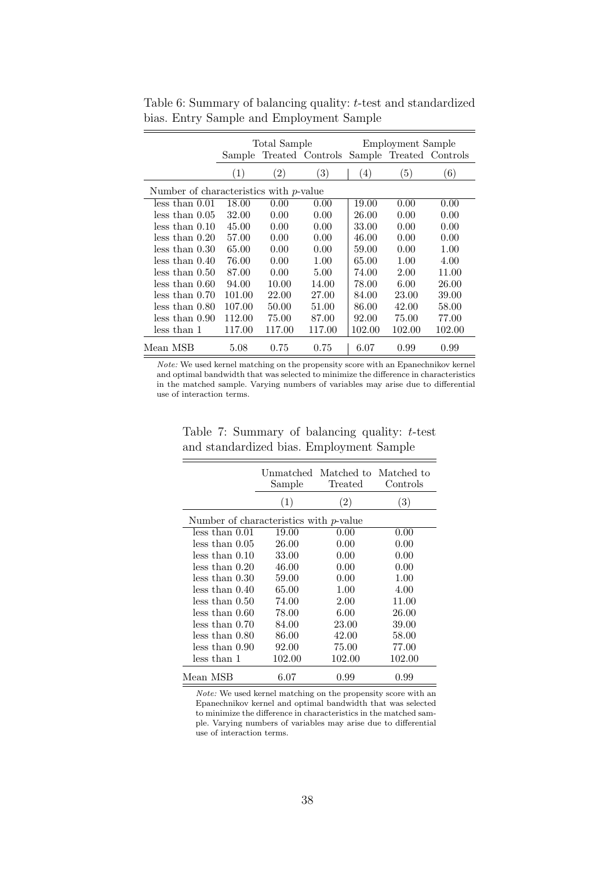|                                           |                  | Total Sample      |                  | Employment Sample |        |                         |
|-------------------------------------------|------------------|-------------------|------------------|-------------------|--------|-------------------------|
|                                           | Sample           |                   | Treated Controls |                   |        | Sample Treated Controls |
|                                           | $\left(1\right)$ | $\left( 2\right)$ | 3)               | (4)               | (5)    | $\left( 6\right)$       |
| Number of characteristics with $p$ -value |                  |                   |                  |                   |        |                         |
| less than 0.01                            | 18.00            | 0.00              | 0.00             | 19.00             | 0.00   | 0.00                    |
| less than 0.05                            | 32.00            | 0.00              | 0.00             | 26.00             | 0.00   | 0.00                    |
| less than 0.10                            | 45.00            | 0.00              | 0.00             | 33.00             | 0.00   | 0.00                    |
| less than 0.20                            | 57.00            | 0.00              | 0.00             | 46.00             | 0.00   | 0.00                    |
| less than 0.30                            | 65.00            | 0.00              | 0.00             | 59.00             | 0.00   | 1.00                    |
| less than 0.40                            | 76.00            | 0.00              | 1.00             | 65.00             | 1.00   | 4.00                    |
| less than 0.50                            | 87.00            | 0.00              | 5.00             | 74.00             | 2.00   | 11.00                   |
| less than 0.60                            | 94.00            | 10.00             | 14.00            | 78.00             | 6.00   | 26.00                   |
| less than 0.70                            | 101.00           | 22.00             | 27.00            | 84.00             | 23.00  | 39.00                   |
| less than 0.80                            | 107.00           | 50.00             | 51.00            | 86.00             | 42.00  | 58.00                   |
| less than 0.90                            | 112.00           | 75.00             | 87.00            | 92.00             | 75.00  | 77.00                   |
| less than 1                               | 117.00           | 117.00            | 117.00           | 102.00            | 102.00 | 102.00                  |
| Mean MSB                                  | 5.08             | 0.75              | 0.75             | 6.07              | 0.99   | 0.99                    |

Table 6: Summary of balancing quality: t-test and standardized bias. Entry Sample and Employment Sample

Note: We used kernel matching on the propensity score with an Epanechnikov kernel and optimal bandwidth that was selected to minimize the difference in characteristics in the matched sample. Varying numbers of variables may arise due to differential use of interaction terms.

|                                           | Sample | Unmatched Matched to Matched to<br>Treated | Controls          |
|-------------------------------------------|--------|--------------------------------------------|-------------------|
|                                           | (1)    | $\left( 2\right)$                          | $\left( 3\right)$ |
| Number of characteristics with $p$ -value |        |                                            |                   |
| less than 0.01                            | 19.00  | 0.00                                       | 0.00              |
| less than 0.05                            | 26.00  | 0.00                                       | 0.00              |
| less than 0.10                            | 33.00  | 0.00                                       | 0.00              |
| less than 0.20                            | 46.00  | 0.00                                       | 0.00              |
| less than 0.30                            | 59.00  | 0.00                                       | 1.00              |
| less than 0.40                            | 65.00  | 1.00                                       | 4.00              |
| less than 0.50                            | 74.00  | 2.00                                       | 11.00             |
| less than 0.60                            | 78.00  | 6.00                                       | 26.00             |
| less than 0.70                            | 84.00  | 23.00                                      | 39.00             |
| less than 0.80                            | 86.00  | 42.00                                      | 58.00             |
| less than 0.90                            | 92.00  | 75.00                                      | 77.00             |
| less than 1                               | 102.00 | 102.00                                     | 102.00            |
| Mean MSB                                  | 6.07   | 0.99                                       | 0.99              |

Table 7: Summary of balancing quality:  $t$ -test and standardized bias. Employment Sample

 $=$ 

Note: We used kernel matching on the propensity score with an Epanechnikov kernel and optimal bandwidth that was selected to minimize the difference in characteristics in the matched sample. Varying numbers of variables may arise due to differential use of interaction terms.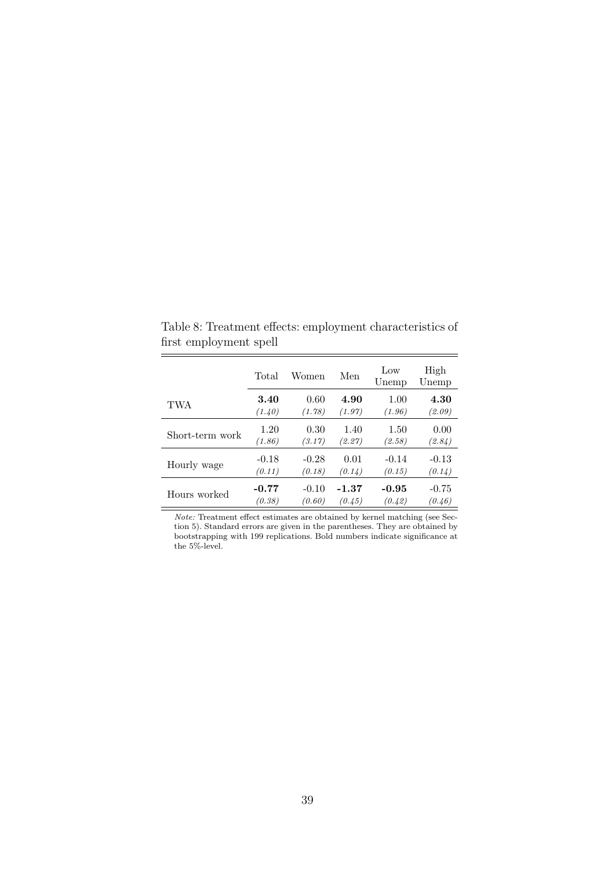|                 | Total   | Women   | Men     | Low<br>Unemp | High<br>Unemp |
|-----------------|---------|---------|---------|--------------|---------------|
| TWA             | 3.40    | 0.60    | 4.90    | 1.00         | 4.30          |
|                 | (1.40)  | (1.78)  | (1.97)  | (1.96)       | (2.09)        |
| Short-term work | 1.20    | 0.30    | 1.40    | 1.50         | 0.00          |
|                 | (1.86)  | (3.17)  | (2.27)  | (2.58)       | (2.84)        |
| Hourly wage     | $-0.18$ | $-0.28$ | 0.01    | $-0.14$      | $-0.13$       |
|                 | (0.11)  | (0.18)  | (0.14)  | (0.15)       | (0.14)        |
| Hours worked    | $-0.77$ | $-0.10$ | $-1.37$ | $-0.95$      | $-0.75$       |
|                 | (0.38)  | (0.60)  | (0.45)  | (0.42)       | (0.46)        |

Table 8: Treatment effects: employment characteristics of first employment spell

Note: Treatment effect estimates are obtained by kernel matching (see Section 5). Standard errors are given in the parentheses. They are obtained by bootstrapping with 199 replications. Bold numbers indicate significance at the 5%-level.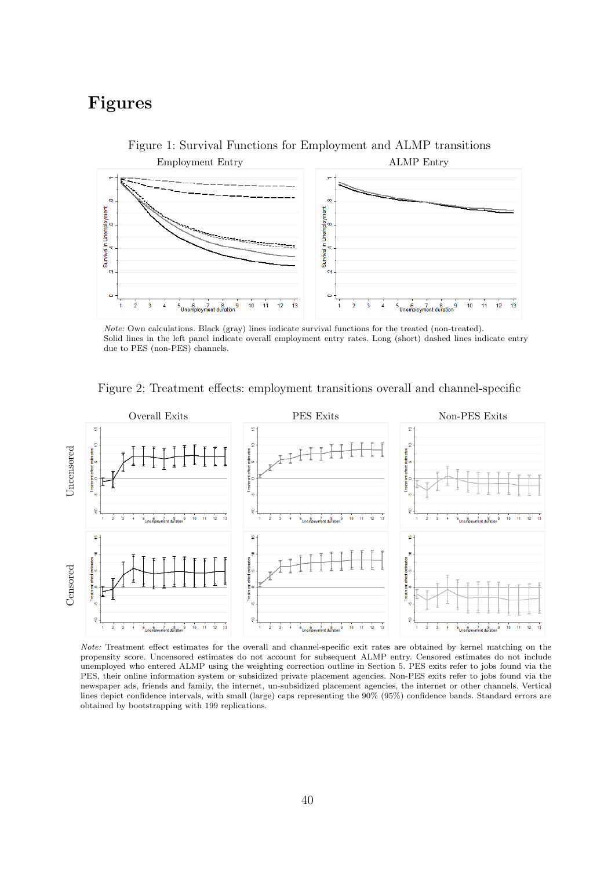## Figures



Figure 1: Survival Functions for Employment and ALMP transitions

Note: Own calculations. Black (gray) lines indicate survival functions for the treated (non-treated). Solid lines in the left panel indicate overall employment entry rates. Long (short) dashed lines indicate entry due to PES (non-PES) channels.



Figure 2: Treatment effects: employment transitions overall and channel-specific

Note: Treatment effect estimates for the overall and channel-specific exit rates are obtained by kernel matching on the propensity score. Uncensored estimates do not account for subsequent ALMP entry. Censored estimates do not include unemployed who entered ALMP using the weighting correction outline in Section 5. PES exits refer to jobs found via the PES, their online information system or subsidized private placement agencies. Non-PES exits refer to jobs found via the newspaper ads, friends and family, the internet, un-subsidized placement agencies, the internet or other channels. Vertical lines depict confidence intervals, with small (large) caps representing the 90% (95%) confidence bands. Standard errors are obtained by bootstrapping with 199 replications.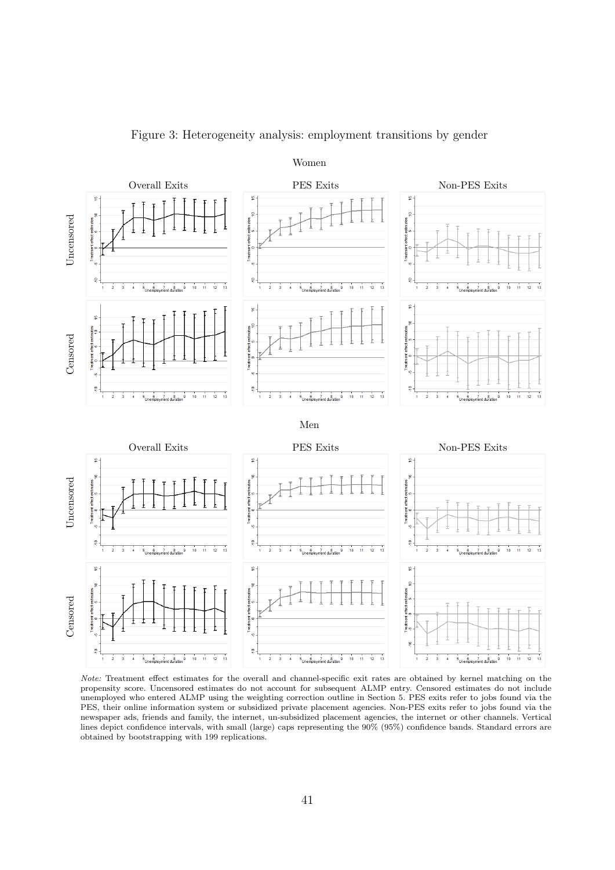

Figure 3: Heterogeneity analysis: employment transitions by gender

Women

Note: Treatment effect estimates for the overall and channel-specific exit rates are obtained by kernel matching on the propensity score. Uncensored estimates do not account for subsequent ALMP entry. Censored estimates do not include unemployed who entered ALMP using the weighting correction outline in Section 5. PES exits refer to jobs found via the PES, their online information system or subsidized private placement agencies. Non-PES exits refer to jobs found via the newspaper ads, friends and family, the internet, un-subsidized placement agencies, the internet or other channels. Vertical lines depict confidence intervals, with small (large) caps representing the 90% (95%) confidence bands. Standard errors are obtained by bootstrapping with 199 replications.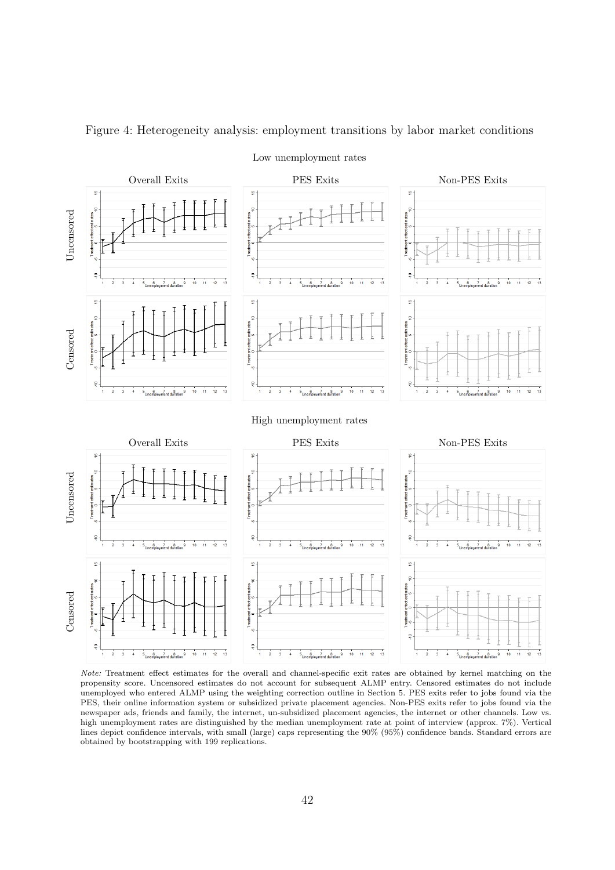![](_page_43_Figure_0.jpeg)

Figure 4: Heterogeneity analysis: employment transitions by labor market conditions

Low unemployment rates

propensity score. Uncensored estimates do not account for subsequent ALMP entry. Censored estimates do not include unemployed who entered ALMP using the weighting correction outline in Section 5. PES exits refer to jobs found via the PES, their online information system or subsidized private placement agencies. Non-PES exits refer to jobs found via the newspaper ads, friends and family, the internet, un-subsidized placement agencies, the internet or other channels. Low vs. high unemployment rates are distinguished by the median unemployment rate at point of interview (approx. 7%). Vertical lines depict confidence intervals, with small (large) caps representing the 90% (95%) confidence bands. Standard errors are obtained by bootstrapping with 199 replications.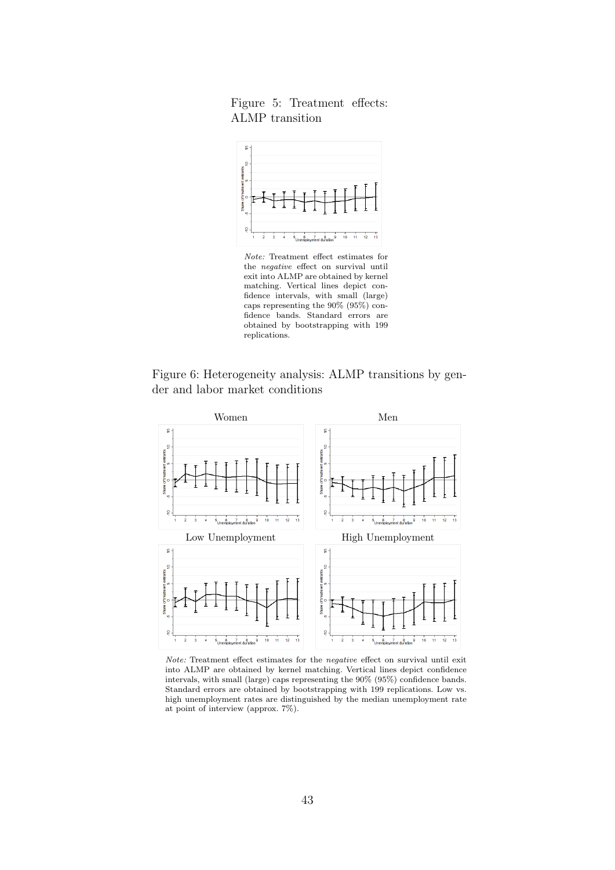Figure 5: Treatment effects: ALMP transition

![](_page_44_Figure_1.jpeg)

Note: Treatment effect estimates for the negative effect on survival until exit into ALMP are obtained by kernel matching. Vertical lines depict confidence intervals, with small (large) caps representing the 90% (95%) confidence bands. Standard errors are obtained by bootstrapping with 199 replications.

![](_page_44_Figure_3.jpeg)

![](_page_44_Figure_4.jpeg)

Note: Treatment effect estimates for the negative effect on survival until exit into ALMP are obtained by kernel matching. Vertical lines depict confidence intervals, with small (large) caps representing the  $90\%$  ( $95\%$ ) confidence bands. Standard errors are obtained by bootstrapping with 199 replications. Low vs. high unemployment rates are distinguished by the median unemployment rate at point of interview (approx. 7%).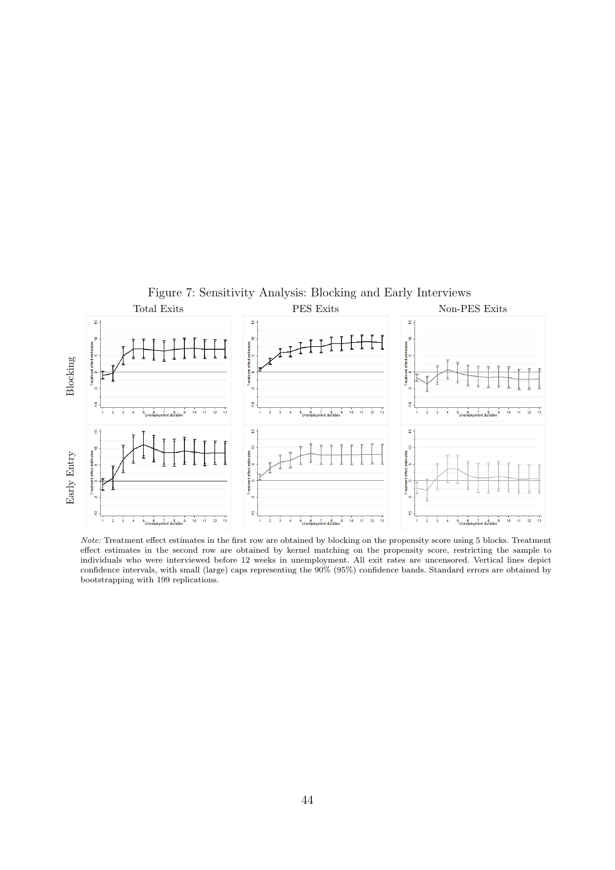![](_page_45_Figure_0.jpeg)

Note: Treatment effect estimates in the first row are obtained by blocking on the propensity score using 5 blocks. Treatment effect estimates in the second row are obtained by kernel matching on the propensity score, restricting the sample to individuals who were interviewed before 12 weeks in unemployment. All exit rates are uncensored. Vertical lines depict confidence intervals, with small (large) caps representing the 90% (95%) confidence bands. Standard errors are obtained by bootstrapping with 199 replications.